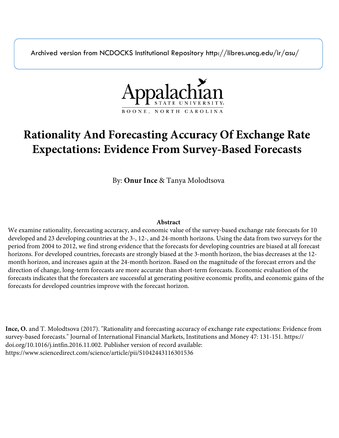Archived version from NCDOCKS Institutional Repository http://libres.uncg.edu/ir/asu/



# **Rationality And Forecasting Accuracy Of Exchange Rate Expectations: Evidence From Survey-Based Forecasts**

By: **Onur Ince** & Tanya Molodtsova

## **Abstract**

We examine rationality, forecasting accuracy, and economic value of the survey-based exchange rate forecasts for 10 developed and 23 developing countries at the 3-, 12-, and 24-month horizons. Using the data from two surveys for the period from 2004 to 2012, we find strong evidence that the forecasts for developing countries are biased at all forecast horizons. For developed countries, forecasts are strongly biased at the 3-month horizon, the bias decreases at the 12 month horizon, and increases again at the 24-month horizon. Based on the magnitude of the forecast errors and the direction of change, long-term forecasts are more accurate than short-term forecasts. Economic evaluation of the forecasts indicates that the forecasters are successful at generating positive economic profits, and economic gains of the forecasts for developed countries improve with the forecast horizon.

**Ince, O.** and T. Molodtsova (2017). "Rationality and forecasting accuracy of exchange rate expectations: Evidence from survey-based forecasts." Journal of International Financial Markets, Institutions and Money 47: 131-151. https:// doi.org/10.1016/j.intfin.2016.11.002. Publisher version of record available: https://www.sciencedirect.com/science/article/pii/S1042443116301536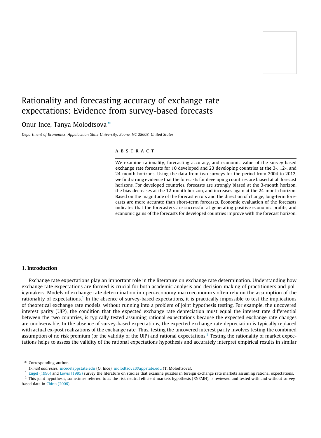# Rationality and forecasting accuracy of exchange rate expectations: Evidence from survey-based forecasts

### Onur Ince, Tanya Molodtsova  $*$

Department of Economics, Appalachian State University, Boone, NC 28608, United States

#### **ABSTRACT**

We examine rationality, forecasting accuracy, and economic value of the survey-based exchange rate forecasts for 10 developed and 23 developing countries at the 3-, 12-, and 24-month horizons. Using the data from two surveys for the period from 2004 to 2012, we find strong evidence that the forecasts for developing countries are biased at all forecast horizons. For developed countries, forecasts are strongly biased at the 3-month horizon, the bias decreases at the 12-month horizon, and increases again at the 24-month horizon. Based on the magnitude of the forecast errors and the direction of change, long-term forecasts are more accurate than short-term forecasts. Economic evaluation of the forecasts indicates that the forecasters are successful at generating positive economic profits, and economic gains of the forecasts for developed countries improve with the forecast horizon.

#### 1. Introduction

Exchange rate expectations play an important role in the literature on exchange rate determination. Understanding how exchange rate expectations are formed is crucial for both academic analysis and decision-making of practitioners and policymakers. Models of exchange rate determination in open-economy macroeconomics often rely on the assumption of the rationality of expectations.<sup>1</sup> In the absence of survey-based expectations, it is practically impossible to test the implications of theoretical exchange rate models, without running into a problem of joint hypothesis testing. For example, the uncovered interest parity (UIP), the condition that the expected exchange rate depreciation must equal the interest rate differential between the two countries, is typically tested assuming rational expectations because the expected exchange rate changes are unobservable. In the absence of survey-based expectations, the expected exchange rate depreciation is typically replaced with actual ex-post realizations of the exchange rate. Thus, testing the uncovered interest parity involves testing the combined assumption of no risk premium (or the validity of the UIP) and rational expectations.<sup>2</sup> Testing the rationality of market expectations helps to assess the validity of the rational expectations hypothesis and accurately interpret empirical results in similar

<sup>1</sup> [Engel \(1996\)](#page-20-0) and [Lewis \(1995\)](#page-21-0) survey the literature on studies that examine puzzles in foreign exchange rate markets assuming rational expectations.

 $^2$  This joint hypothesis, sometimes referred to as the risk-neutral efficient-markets hypothesis (RNEMH), is reviewed and tested with and without surveybased data in [Chinn \(2006\).](#page-20-0)

<sup>\*</sup> Corresponding author.

E-mail addresses: [inceo@appstate.edu](mailto:inceo@appstate.edu) (O. Ince), [molodtsovat@appstate.edu](mailto:molodtsovat@appstate.edu) (T. Molodtsova).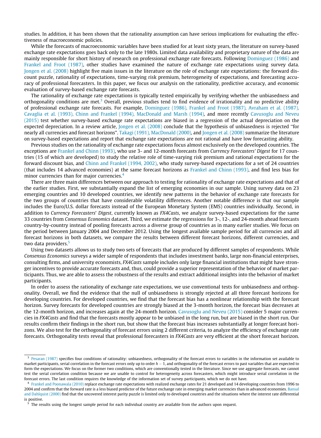studies. In addition, it has been shown that the rationality assumption can have serious implications for evaluating the effectiveness of macroeconomic policies.

While the forecasts of macroeconomic variables have been studied for at least sixty years, the literature on survey-based exchange rate expectations goes back only to the late 1980s. Limited data availability and proprietary nature of the data are mainly responsible for short history of research on professional exchange rate forecasts. Following [Dominguez \(1986\)](#page-20-0) and [Frankel and Froot \(1987\),](#page-21-0) other studies have examined the nature of exchange rate expectations using survey data. [Jongen et al. \(2008\)](#page-21-0) highlight five main issues in the literature on the role of exchange rate expectations: the forward discount puzzle, rationality of expectations, time-varying risk premium, heterogeneity of expectations, and forecasting accuracy of professional forecasters. In this paper, we focus our analysis on the rationality, predictive accuracy, and economic evaluation of survey-based exchange rate forecasts.

The rationality of exchange rate expectations is typically tested empirically by verifying whether the unbiasedness and orthogonality conditions are met.<sup>3</sup> Overall, previous studies tend to find evidence of irrationality and no predictive ability of professional exchange rate forecasts. For example, [Dominguez \(1986\), Frankel and Froot \(1987\), Avraham et al. \(1987\),](#page-20-0) [Cavaglia et al. \(1993\), Chinn and Frankel \(1994\), MacDonald and Marsh \(1994\),](#page-20-0) and more recently [Cavusoglu and Neveu](#page-20-0) [\(2015\)](#page-20-0) test whether survey-based exchange rate expectations are biased in a regression of the actual depreciation on the expected depreciation. In a review article, [Jongen et al. \(2008\)](#page-21-0) conclude that the hypothesis of unbiasedness is rejected ''for nearly all currencies and forecast horizons". [Takagi \(1991\), MacDonald \(2000\)](#page-21-0), and [Jongen et al. \(2008\)](#page-21-0) summarize the literature on survey-based expectations and report that exchange rate expectations are not rational and have low forecasting ability.

Previous studies on the rationality of exchange rate expectations focus almost exclusively on the developed countries. The exceptions are [Frankel and Chinn \(1993\),](#page-21-0) who use 3- and 12-month forecasts from Currency Forecasters' Digest for 17 countries (15 of which are developed) to study the relative role of time-varying risk premium and rational expectations for the forward discount bias, and [Chinn and Frankel \(1994, 2002\),](#page-20-0) who study survey-based expectations for a set of 24 countries (that includes 14 advanced economies) at the same forecast horizons as [Frankel and Chinn \(1993\)](#page-21-0), and find less bias for minor currencies than for major currencies.<sup>4</sup>

There are three main differences between our approach to testing for rationality of exchange rate expectations and that of the earlier studies. First, we substantially expand the list of emerging economies in our sample. Using survey data on 23 emerging countries and 10 developed countries, we identify new patterns in the behavior of exchange rate forecasts for the two groups of countries that have considerable volatility differences. Another notable difference is that our sample includes the Euro/U.S. dollar forecasts instead of the European Monetary System (EMS) countries individually. Second, in addition to Currency Forecasters' Digest, currently known as FX4Casts, we analyze survey-based expectations for the same 33 countries from Consensus Economics dataset. Third, we estimate the regressions for 3-, 12-, and 24-month ahead forecasts country-by-country instead of pooling forecasts across a diverse group of countries as in many earlier studies. We focus on the period between January 2004 and December 2012. Using the longest available sample period for all currencies and all forecast horizons in both datasets, we compare the results between different forecast horizons, different currencies, and two data providers.<sup>5</sup>

Using two datasets allows us to study two sets of forecasts that are produced by different samples of respondents. While Consensus Economics surveys a wider sample of respondents that includes investment banks, large non-financial enterprises, consulting firms, and university economists, FX4Casts sample includes only large financial institutions that might have stronger incentives to provide accurate forecasts and, thus, could provide a superior representation of the behavior of market participants. Thus, we are able to assess the robustness of the results and extract additional insights into the behavior of market participants.

In order to assess the rationality of exchange rate expectations, we use conventional tests for unbiasedness and orthogonality. Overall, we find the evidence that the null of unbiasedness is strongly rejected at all three forecast horizons for developing countries. For developed countries, we find that the forecast bias has a nonlinear relationship with the forecast horizon. Survey forecasts for developed countries are strongly biased at the 3-month horizon, the forecast bias decreases at the 12-month horizon, and increases again at the 24-month horizon. [Cavusoglu and Neveu \(2015\)](#page-20-0) consider 5 major currencies in FX4Casts and find that the forecasts mostly appear to be unbiased in the long run, but are biased in the short run. Our results confirm their findings in the short run, but show that the forecast bias increases substantially at longer forecast horizons. We also test for the orthogonality of forecast errors using 2 different criteria, to analyze the efficiency of exchange rate forecasts. Orthogonality tests reveal that professional forecasters in FX4Casts are very efficient at the short forecast horizon.

<sup>&</sup>lt;sup>3</sup> [Pesaran \(1987\)](#page-21-0) specifies four conditions of rationality: unbiasedness, orthogonality of the forecast errors to variables in the information set available to market participants, serial correlation in the forecast errors only up to order  $h-1$ , and orthogonality of the forecast errors to past variables that are expected to form the expectations. We focus on the former two conditions, which are conventionally tested in the literature. Since we use aggregate forecasts, we cannot test the serial correlation condition because we are unable to control for heterogeneity across forecasters, which might introduce serial correlation in the forecast errors. The last condition requires the knowledge of the information set of survey participants, which we do not have.

 $4$  [Frankel and Poonawala \(2010\)](#page-21-0) replace exchange rate expectations with realized exchange rates for 21 developed and 14 developing countries from 1996 to 2004 and confirm that the forward rate is a less biased predictor of the future exchange rate in emerging market currencies than in advanced economies. [Bansal](#page-20-0) [and Dahlquist \(2000\)](#page-20-0) find that the uncovered interest parity puzzle is limited only to developed countries and the situations where the interest rate differential is positive.

The results using the longest sample period for each individual country are available from the authors upon request.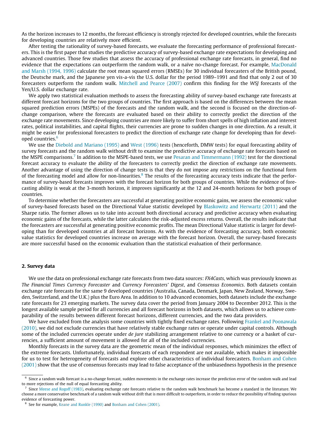As the horizon increases to 12 months, the forecast efficiency is strongly rejected for developed countries, while the forecasts for developing countries are relatively more efficient.

After testing the rationality of survey-based forecasts, we evaluate the forecasting performance of professional forecasters. This is the first paper that studies the predictive accuracy of survey-based exchange rate expectations for developing and advanced countries. Those few studies that assess the accuracy of professional exchange rate forecasts, in general, find no evidence that the expectations can outperform the random walk, or a naïve no-change forecast. For example, [MacDonald](#page-21-0) [and Marsh \(1994, 1996\)](#page-21-0) calculate the root mean squared errors (RMSEs) for 30 individual forecasters of the British pound, the Deutsche mark, and the Japanese yen vis-a-vis the U.S. dollar for the period 1989–1991 and find that only 2 out of 30 forecasters outperform the random walk. [Mitchell and Pearce \(2007\)](#page-21-0) confirm this finding for the WSJ forecasts of the Yen/U.S. dollar exchange rate.

We apply two statistical evaluation methods to assess the forecasting ability of survey-based exchange rate forecasts at different forecast horizons for the two groups of countries. The first approach is based on the differences between the mean squared prediction errors (MSPEs) of the forecasts and the random walk, and the second is focused on the direction-ofchange comparison, where the forecasts are evaluated based on their ability to correctly predict the direction of the exchange rate movements. Since developing countries are more likely to suffer from short spells of high inflation and interest rates, political instabilities, and capital flights, their currencies are prone to sudden changes in one direction. As a result, it might be easier for professional forecasters to predict the direction of exchange rate change for developing than for developed countries.<sup>6</sup>

We use the [Diebold and Mariano \(1995\)](#page-20-0) and [West \(1996\)](#page-21-0) tests (henceforth, DMW tests) for equal forecasting ability of survey forecasts and the random walk without drift to examine the predictive accuracy of exchange rate forecasts based on the MSPE comparisons.<sup>7</sup> In addition to the MSPE-based tests, we use [Pesaran and Timmermann \(1992\)](#page-21-0) test for the directional forecast accuracy to evaluate the ability of the forecasters to correctly predict the direction of exchange rate movements. Another advantage of using the direction of change tests is that they do not impose any restrictions on the functional form of the forecasting model and allow for non-linearities.<sup>8</sup> The results of the forecasting accuracy tests indicate that the performance of survey-based forecasts improves with the forecast horizon for both groups of countries. While the evidence of forecasting ability is weak at the 3-month horizon, it improves significantly at the 12 and 24-month horizons for both groups of countries.

To determine whether the forecasters are successful at generating positive economic gains, we assess the economic value of survey-based forecasts based on the Directional Value statistic developed by [Blaskowitz and Herwartz \(2011\)](#page-20-0) and the Sharpe ratio. The former allows us to take into account both directional accuracy and predictive accuracy when evaluating economic gains of the forecasts, while the latter calculates the risk-adjusted excess returns. Overall, the results indicate that the forecasters are successful at generating positive economic profits. The mean Directional Value statistic is larger for developing than for developed countries at all forecast horizons. As with the evidence of forecasting accuracy, both economic value statistics for developed countries increase on average with the forecast horizon. Overall, the survey-based forecasts are more successful based on the economic evaluation than the statistical evaluation of their performance.

#### 2. Survey data

We use the data on professional exchange rate forecasts from two data sources: FX4Casts, which was previously known as The Financial Times Currency Forecaster and Currency Forecasters' Digest, and Consensus Economics. Both datasets contain exchange rate forecasts for the same 9 developed countries (Australia, Canada, Denmark, Japan, New Zealand, Norway, Sweden, Switzerland, and the U.K.) plus the Euro Area. In addition to 10 advanced economies, both datasets include the exchange rate forecasts for 23 emerging markets. The survey data cover the period from January 2004 to December 2012. This is the longest available sample period for all currencies and all forecast horizons in both datasets, which allows us to achieve comparability of the results between different forecast horizons, different currencies, and the two data providers.

We have excluded from the analysis some countries with tightly fixed exchange rates. Following [Frankel and Poonawala](#page-21-0) [\(2010\),](#page-21-0) we did not exclude currencies that have relatively stable exchange rates or operate under capital controls. Although some of the included currencies operate under de jure stabilizing arrangement relative to one currency or a basket of currencies, a sufficient amount of movement is allowed for all of the included currencies.

Monthly forecasts in the survey data are the geometric mean of the individual responses, which minimizes the effect of the extreme forecasts. Unfortunately, individual forecasts of each respondent are not available, which makes it impossible for us to test for heterogeneity of forecasts and explore other characteristics of individual forecasters. [Bonham and Cohen](#page-20-0) [\(2001\)](#page-20-0) show that the use of consensus forecasts may lead to false acceptance of the unbiasedness hypothesis in the presence

 $6$  Since a random walk forecast is a no-change forecast, sudden movements in the exchange rates increase the prediction error of the random walk and lead to more rejections of the null of equal forecasting ability.

Since [Meese and Rogoff \(1983\)](#page-21-0), evaluating exchange rate forecasts relative to the random walk benchmark has become a standard in the literature. We choose a more conservative benchmark of a random walk without drift that is more difficult to outperform, in order to reduce the possibility of finding spurious evidence of forecasting power.

<sup>8</sup> See for example, [Keane and Runkle \(1990\)](#page-21-0) and [Bonham and Cohen \(2001\)](#page-20-0).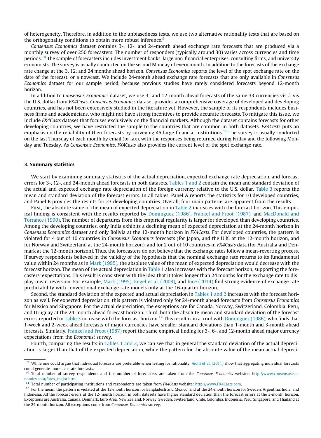of heterogeneity. Therefore, in addition to the unbiasedness tests, we use two alternative rationality tests that are based on the orthogonality conditions to obtain more robust inference.<sup>9</sup>

Consensus Economics dataset contains 3-, 12-, and 24-month ahead exchange rate forecasts that are produced via a monthly survey of over 250 forecasters. The number of responders (typically around 30) varies across currencies and time periods.<sup>10</sup> The sample of forecasters includes investment banks, large non-financial enterprises, consulting firms, and university economists. The survey is usually conducted on the second Monday of every month. In addition to the forecasts of the exchange rate change at the 3, 12, and 24 months ahead horizon, Consensus Economics reports the level of the spot exchange rate on the date of the forecast, or a nowcast. We include 24-month ahead exchange rate forecasts that are only available in Consensus Economics dataset for our sample period, because previous studies have rarely considered forecasts beyond 12-month horizon.

In addition to Consensus Economics dataset, we use 3- and 12-month ahead forecasts of the same 33 currencies vis-à-vis the U.S. dollar from FX4Casts. Consensus Economics dataset provides a comprehensive coverage of developed and developing countries, and has not been extensively studied in the literature yet. However, the sample of its respondents includes business firms and academicians, who might not have strong incentives to provide accurate forecasts. To mitigate this issue, we include FX4Casts dataset that focuses exclusively on the financial markets. Although the dataset contains forecasts for other developing countries, we have restricted the sample to the countries that are common in both datasets. FX4Casts puts an emphasis on the reliability of their forecasts by surveying 45 large financial institutions.<sup>11</sup> The survey is usually conducted on the last Thursday of each month by email (or fax), with the responses being returned during Friday and the following Monday and Tuesday. As Consensus Economics, FX4Casts also provides the current level of the spot exchange rate.

#### 3. Summary statistics

We start by examining summary statistics of the actual depreciation, expected exchange rate depreciation, and forecast errors for 3-, 12-, and 24-month ahead forecasts in both datasets. [Tables 1 and 2](#page-5-0) contain the mean and standard deviation of the actual and expected exchange rate depreciation of the foreign currency relative to the U.S. dollar. [Table 3](#page-7-0) reports the mean and standard deviation of the forecast errors. In all tables, Panel A reports the statistics for 10 developed countries, and Panel B provides the results for 23 developing countries. Overall, four main patterns are apparent from the results.

First, the absolute value of the mean of expected depreciation in [Table 2](#page-6-0) increases with the forecast horizon. This empirical finding is consistent with the results reported by [Dominguez \(1986\), Frankel and Froot \(1987\),](#page-20-0) and [MacDonald and](#page-21-0) [Torrance \(1990\).](#page-21-0) The number of departures from this empirical regularity is larger for developed than developing countries. Among the developing countries, only India exhibits a declining mean of expected depreciation at the 24-month horizon in Consensus Economics dataset and only Bolivia at the 12-month horizon in FX4Casts. For developed countries, the pattern is violated for 4 out of 10 countries in Consensus Economics forecasts (for Japan, and the U.K. at the 12-month horizon, and for Norway and Switzerland at the 24-month horizon), and for 2 out of 10 countries in FX4Casts data (for Australia and Denmark at the 12-month horizon). Thus, the forecasters do not believe that the exchange rates follow a mean-reverting process. If survey respondents believed in the validity of the hypothesis that the nominal exchange rate returns to its fundamental value within 24 months as in [Mark \(1995\)](#page-21-0), the absolute value of the mean of expected depreciation would decrease with the forecast horizon. The mean of the actual depreciation in [Table 1](#page-5-0) also increases with the forecast horizon, supporting the forecasters' expectations. This result is consistent with the idea that it takes longer than 24 months for the exchange rate to display mean-reversion. For example, [Mark \(1995\), Engel et al. \(2008\),](#page-21-0) and [Ince \(2014\)](#page-21-0) find strong evidence of exchange rate predictability with conventional exchange rate models only at the 16-quarter horizon.

Second, the standard deviation of the expected and actual depreciation in [Tables 1 and 2](#page-5-0) increases with the forecast horizon as well. For expected depreciation, this pattern is violated only for 24-month ahead forecasts from Consensus Economics for Mexico and Singapore. For the actual depreciation, the exceptions are for Canada, Norway, Switzerland, Colombia, Peru, and Uruguay at the 24-month ahead forecast horizon. Third, both the absolute mean and standard deviation of the forecast errors reported in [Table 3](#page-7-0) increase with the forecast horizon.<sup>12</sup> This result is in accord with [Dominguez \(1986\)](#page-20-0), who finds that 1-week and 2-week ahead forecasts of major currencies have smaller standard deviations than 1-month and 3-month ahead forecasts. Similarly, [Frankel and Froot \(1987\)](#page-21-0) report the same empirical finding for 3-, 6-, and 12-month ahead major currency expectations from the Economist survey.

Fourth, comparing the results in [Tables 1 and 2](#page-5-0), we can see that in general the standard deviation of the actual depreciation is larger than that of the expected depreciation, while the pattern for the absolute value of the mean actual depreci-

<sup>&</sup>lt;sup>9</sup> While one could argue that individual forecasts are preferable when testing for rationality, [Aiolfi et al. \(2011\)](#page-20-0) show that aggregating individual forecasts could generate more accurate forecasts.

<sup>&</sup>lt;sup>10</sup> Total number of survey respondents and the number of forecasters are taken from the Consensus Economics website: [http://www.consensuseco](http://www.consensuseconomics.com/forex_major.htm)[nomics.com/forex\\_major.htm](http://www.consensuseconomics.com/forex_major.htm).

<sup>&</sup>lt;sup>11</sup> Total number of participating institutions and respondents are taken from FX4Casts website: [http://www.FX4Casts.com.](http://www.FX4Casts.com)

<sup>&</sup>lt;sup>12</sup> For the mean, the pattern is violated at the 12-month horizon for Bangladesh and Mexico, and at the 24-month horizon for Sweden, Argentina, India, and Indonesia. All the forecast errors at the 12-month horizon in both datasets have higher standard deviation than the forecast errors at the 3-month horizon. Exceptions are Australia, Canada, Denmark, Euro Area, New Zealand, Norway, Sweden, Switzerland, Chile, Colombia, Indonesia, Peru, Singapore, and Thailand at the 24-month horizon. All exceptions come from Consensus Economics survey.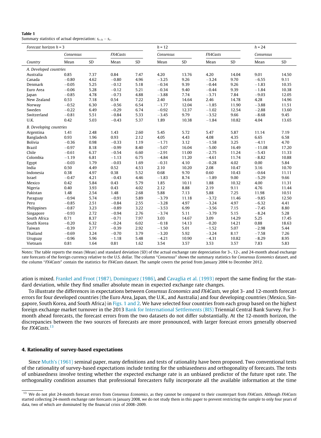## <span id="page-5-0"></span>Table 1

Summary statistics of actual depreciation:  $s_{t+h} - s_t$ .

| Forecast horizon $h = 3$       |           |      |          |      | $h = 12$  |       |          |       | $h = 24$  |       |  |
|--------------------------------|-----------|------|----------|------|-----------|-------|----------|-------|-----------|-------|--|
|                                | Consensus |      | FX4Casts |      | Consensus |       | FX4Casts |       | Consensus |       |  |
| Country                        | Mean      | SD   | Mean     | SD   | Mean      | SD    | Mean     | SD    | Mean      | SD    |  |
| A. Developed countries         |           |      |          |      |           |       |          |       |           |       |  |
| Australia                      | 0.85      | 7.37 | 0.84     | 7.47 | 4.20      | 13.76 | 4.20     | 14.04 | 9.01      | 14.50 |  |
| Canada                         | $-0.80$   | 4.62 | $-0.80$  | 4.96 | $-3.25$   | 9.26  | $-3.24$  | 9.70  | $-6.55$   | 9.11  |  |
| Denmark                        | $-0.05$   | 5.25 | $-0.12$  | 5.18 | $-0.34$   | 9.39  | $-0.44$  | 9.26  | $-1.83$   | 10.35 |  |
| Euro Area                      | $-0.06$   | 5.28 | $-0.12$  | 5.21 | $-0.34$   | 9.40  | $-0.44$  | 9.39  | $-1.84$   | 10.38 |  |
| Japan                          | $-0.85$   | 4.78 | $-0.73$  | 4.88 | $-3.88$   | 7.74  | $-3.71$  | 7.84  | $-9.03$   | 12.05 |  |
| New Zealand                    | 0.53      | 7.18 | 0.54     | 7.22 | 2.40      | 14.64 | 2.46     | 14.78 | 4.28      | 14.96 |  |
| Norway                         | $-0.52$   | 6.30 | $-0.56$  | 6.54 | $-1.77$   | 12.04 | $-1.85$  | 11.90 | $-3.88$   | 11.51 |  |
| Sweden                         | $-0.22$   | 6.49 | $-0.29$  | 6.74 | $-0.92$   | 12.37 | $-1.02$  | 12.54 | $-2.88$   | 13.60 |  |
| Switzerland                    | $-0.81$   | 5.51 | $-0.84$  | 5.33 | $-3.45$   | 9.79  | $-3.52$  | 9.66  | $-8.68$   | 9.45  |  |
| U.K.                           | 0.42      | 5.03 | $-0.43$  | 5.37 | 1.89      | 10.38 | $-1.84$  | 10.82 | 4.04      | 13.65 |  |
| <b>B.</b> Developing countries |           |      |          |      |           |       |          |       |           |       |  |
| Argentina                      | 1.41      | 2.48 | 1.43     | 2.60 | 5.45      | 5.72  | 5.47     | 5.87  | 11.14     | 7.19  |  |
| Bangladesh                     | 0.93      | 1.96 | 0.93     | 2.12 | 4.05      | 4.43  | 4.08     | 4.35  | 6.65      | 6.58  |  |
| <b>Bolivia</b>                 | $-0.36$   | 0.98 | $-0.33$  | 1.19 | $-1.71$   | 3.12  | $-1.58$  | 3.25  | $-4.11$   | 4.70  |  |
| <b>Brazil</b>                  | $-0.97$   | 8.18 | $-0.99$  | 8.40 | $-5.07$   | 16.04 | $-5.00$  | 16.49 | $-11.08$  | 17.20 |  |
| Chile                          | $-0.61$   | 6.37 | $-0.54$  | 6.60 | $-2.91$   | 11.00 | $-2.75$  | 11.24 | $-5.43$   | 11.33 |  |
| Colombia                       | $-1.19$   | 6.81 | $-1.13$  | 6.75 | $-4.84$   | 11.20 | $-4.61$  | 11.74 | $-8.82$   | 10.88 |  |
| Egypt                          | $-0.03$   | 1.79 | $-0.03$  | 1.69 | $-0.31$   | 4.10  | $-0.28$  | 4.02  | $0.00\,$  | 5.84  |  |
| India                          | 0.50      | 4.49 | 0.52     | 4.53 | 2.10      | 10.20 | 2.08     | 10.47 | 3.16      | 10.70 |  |
| Indonesia                      | 0.38      | 4.97 | 0.38     | 5.52 | 0.68      | 9.70  | 0.60     | 10.43 | $-0.64$   | 11.11 |  |
| Israel                         | $-0.47$   | 4.21 | $-0.43$  | 4.46 | $-1.83$   | 8.74  | $-1.89$  | 9.00  | $-5.29$   | 9.66  |  |
| Mexico                         | 0.42      | 5.84 | 0.43     | 5.79 | 1.85      | 10.11 | 1.88     | 10.32 | 4.00      | 11.31 |  |
| Nigeria                        | 0.40      | 3.93 | 0.43     | 4.02 | 2.12      | 8.88  | 2.19     | 9.11  | 4.76      | 11.44 |  |
| Pakistan                       | 1.48      | 2.54 | 1.48     | 2.68 | 5.88      | 7.13  | 5.88     | 7.25  | 11.98     | 10.51 |  |
| Paraguay                       | $-0.94$   | 5.74 | $-0.91$  | 5.89 | $-3.79$   | 11.18 | $-3.72$  | 11.46 | $-9.85$   | 12.50 |  |
| Peru                           | $-0.85$   | 2.51 | $-0.84$  | 2.55 | $-3.28$   | 4.97  | $-3.24$  | 4.97  | $-6.32$   | 4.41  |  |
| Philippines                    | $-0.87$   | 3.23 | $-0.89$  | 3.22 | $-3.53$   | 6.99  | $-3.56$  | 7.15  | $-7.45$   | 8.80  |  |
| Singapore                      | $-0.93$   | 2.72 | $-0.94$  | 2.76 | $-3.74$   | 5.11  | $-3.79$  | 5.15  | $-8.24$   | 5.28  |  |
| South Africa                   | 0.71      | 8.37 | $-0.71$  | 7.97 | 3.03      | 14.67 | 3.09     | 14.29 | 5.25      | 17.45 |  |
| South Korea                    | $-0.20$   | 6.32 | $-0.24$  | 6.02 | $-0.18$   | 14.13 | $-0.20$  | 14.21 | 0.88      | 18.63 |  |
| Taiwan                         | $-0.39$   | 2.77 | $-0.39$  | 2.92 | $-1.50$   | 5.01  | $-1.52$  | 5.07  | $-2.98$   | 5.44  |  |
| Thailand                       | $-0.69$   | 3.24 | $-0.70$  | 3.79 | $-3.20$   | 5.92  | $-3.24$  | 8.17  | $-7.58$   | 7.26  |  |
| Uruguay                        | $-0.96$   | 5.96 | $-1.18$  | 5.48 | $-4.21$   | 10.90 | $-4.31$  | 10.82 | $-8.29$   | 8.95  |  |
| Vietnam                        | 0.81      | 1.64 | 0.81     | 1.62 | 3.54      | 3.57  | 3.53     | 3.57  | 7.83      | 5.83  |  |

Notes: The table reports the mean (Mean) and standard deviation (SD) of the actual exchange rate depreciation for 3-, 12-, and 24-month ahead exchange rate forecasts of the foreign currency relative to the U.S. dollar. The column ''Consensus" shows the summary statistics for Consensus Economics dataset, and the column "FX4Casts" contain the statistics for FX4Casts dataset. The sample covers the period from January 2004 to December 2012.

ation is mixed. [Frankel and Froot \(1987\), Dominguez \(1986\)](#page-21-0), and [Cavaglia et al. \(1993\)](#page-20-0) report the same finding for the standard deviation, while they find smaller absolute mean in expected exchange rate changes.

To illustrate the differences in expectations between Consensus Economics and FX4Casts, we plot 3- and 12-month forecast errors for four developed countries (the Euro Area, Japan, the U.K., and Australia) and four developing countries (Mexico, Singapore, South Korea, and South Africa) in [Figs. 1 and 2](#page-8-0). We have selected four countries from each group based on the highest foreign exchange market turnover in the 2013 [Bank for International Settlements \(BIS\)](#page-20-0) Triennial Central Bank Survey. For 3 month ahead forecasts, the forecast errors from the two datasets do not differ substantially. At the 12-month horizon, the discrepancies between the two sources of forecasts are more pronounced, with larger forecast errors generally observed for *FX4Casts*.<sup>13</sup>

#### 4. Rationality of survey-based expectations

Since [Muth's \(1961\)](#page-21-0) seminal paper, many definitions and tests of rationality have been proposed. Two conventional tests of the rationality of survey-based expectations include testing for the unbiasedness and orthogonality of forecasts. The tests of unbiasedness involve testing whether the expected exchange rate is an unbiased predictor of the future spot rate. The orthogonality condition assumes that professional forecasters fully incorporate all the available information at the time

<sup>&</sup>lt;sup>13</sup> We do not plot 24-month forecast errors from Consensus Economics, as they cannot be compared to their counterpart from FX4Casts. Although FX4Casts started collecting 24-month exchange rate forecasts in January 2008, we do not study them in this paper to prevent restricting the sample to only four years of data, two of which are dominated by the financial crisis of 2008–2009.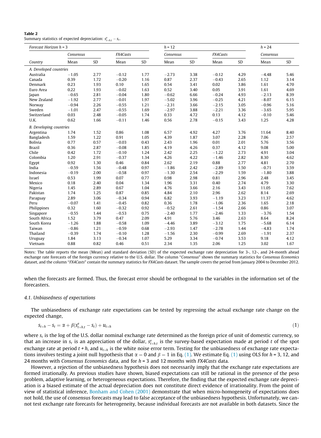#### <span id="page-6-0"></span>Table 2 Summary statistics of expected depreciation:  $s_{t+h,t}^e - s_t$ .

| Forecast Horizon $h = 3$       |           |      | $h = 12$ |      |           |      | $h = 24$ |      |           |      |
|--------------------------------|-----------|------|----------|------|-----------|------|----------|------|-----------|------|
|                                | Consensus |      | FX4Casts |      | Consensus |      | FX4Casts |      | Consensus |      |
| Country                        | Mean      | SD   | Mean     | SD   | Mean      | SD   | Mean     | SD   | Mean      | SD   |
| A. Developed countries         |           |      |          |      |           |      |          |      |           |      |
| Australia                      | $-1.05$   | 2.77 | $-0.12$  | 1.77 | $-2.73$   | 3.38 | $-0.12$  | 4.29 | $-4.48$   | 5.46 |
| Canada                         | 0.39      | 1.72 | $-0.20$  | 1.16 | 0.87      | 2.37 | $-0.43$  | 2.65 | 1.12      | 3.14 |
| Denmark                        | 0.23      | 1.93 | 0.10     | 1.65 | 0.54      | 3.41 | 0.02     | 3.86 | 1.61      | 4.70 |
| Euro Area                      | 0.22      | 1.93 | $-0.02$  | 1.63 | 0.52      | 3.40 | 0.05     | 3.91 | 1.61      | 4.69 |
| Japan                          | $-0.65$   | 2.81 | $-0.04$  | 1.80 | $-0.62$   | 6.66 | $-0.24$  | 4.93 | $-2.13$   | 8.39 |
| New Zealand                    | $-1.92$   | 2.77 | $-0.01$  | 1.97 | $-5.02$   | 3.96 | $-0.25$  | 4.21 | $-8.07$   | 6.15 |
| Norway                         | $-0.94$   | 2.26 | $-0.55$  | 1.21 | $-2.31$   | 3.66 | $-2.15$  | 3.05 | $-0.96$   | 5.16 |
| Sweden                         | $-1.01$   | 2.47 | $-0.55$  | 1.69 | $-2.97$   | 3.88 | $-2.21$  | 3.36 | $-3.65$   | 5.95 |
| Switzerland                    | 0.03      | 2.48 | $-0.05$  | 1.74 | 0.33      | 4.72 | 0.13     | 4.12 | $-0.10$   | 5.46 |
| U.K.                           | 0.62      | 1.66 | $-0.11$  | 1.46 | 0.56      | 2.78 | $-0.15$  | 3.43 | 1.25      | 4.28 |
| <b>B.</b> Developing countries |           |      |          |      |           |      |          |      |           |      |
| Argentina                      | 1.74      | 1.52 | 0.86     | 1.08 | 6.57      | 4.92 | 4.27     | 3.76 | 11.64     | 8.40 |
| Bangladesh                     | 1.59      | 1.22 | 0.91     | 1.05 | 4.39      | 1.87 | 3.07     | 2.28 | 7.06      | 2.57 |
| <b>Bolivia</b>                 | 0.77      | 0.57 | $-0.03$  | 0.43 | 2.43      | 1.96 | 0.01     | 2.01 | 5.76      | 3.56 |
| <b>Brazil</b>                  | 0.36      | 2.87 | $-0.08$  | 1.85 | 4.19      | 4.26 | 0.37     | 4.12 | 9.08      | 5.00 |
| Chile                          | 0.42      | 1.72 | $-0.10$  | 1.24 | 2.42      | 2.25 | $-1.22$  | 2.73 | 4.91      | 3.04 |
| Colombia                       | 1.20      | 2.91 | $-0.37$  | 1.34 | 4.26      | 4.22 | $-1.46$  | 2.82 | 8.30      | 4.62 |
| Egypt                          | 0.92      | 1.30 | 0.46     | 0.84 | 2.62      | 2.19 | 0.88     | 2.77 | 4.81      | 2.70 |
| India                          | $-0.59$   | 1.56 | $-0.48$  | 0.97 | $-1.86$   | 2.42 | $-2.89$  | 1.50 | $-0.71$   | 3.59 |
| Indonesia                      | $-0.19$   | 2.00 | $-0.58$  | 0.97 | $-1.30$   | 2.54 | $-2.29$  | 1.59 | $-1.80$   | 3.88 |
| Israel                         | 0.53      | 1.99 | 0.07     | 0.77 | 0.98      | 2.98 | 0.81     | 2.96 | 2.48      | 3.45 |
| Mexico                         | 0.18      | 2.40 | 0.04     | 1.34 | 1.96      | 3.31 | 0.40     | 2.74 | 4.79      | 3.30 |
| Nigeria                        | 1.45      | 2.89 | 0.67     | 1.04 | 4.76      | 3.66 | 2.16     | 3.43 | 11.05     | 7.62 |
| Pakistan                       | 1.74      | 1.25 | 0.87     | 0.85 | 4.84      | 2.10 | 2.96     | 2.62 | 8.14      | 2.69 |
| Paraguay                       | 2.89      | 3.06 | $-0.34$  | 0.94 | 6.82      | 3.93 | $-1.19$  | 3.23 | 11.37     | 4.62 |
| Peru                           | $-0.07$   | 1.41 | $-0.45$  | 0.82 | 0.36      | 1.78 | $-1.06$  | 2.36 | 1.65      | 2.18 |
| Philippines                    | 0.32      | 1.60 | $-0.32$  | 0.92 | $-0.52$   | 2.61 | $-1.54$  | 2.66 | 0.86      | 3.07 |
| Singapore                      | $-0.55$   | 1.44 | $-0.53$  | 0.75 | $-2.40$   | 1.77 | $-2.46$  | 1.33 | $-3.76$   | 1.54 |
| South Africa                   | 1.52      | 3.79 | 0.47     | 2.09 | 4.91      | 5.76 | 3.46     | 2.63 | 8.64      | 8.24 |
| South Korea                    | $-1.26$   | 1.88 | $-0.58$  | 1.09 | $-4.46$   | 3.89 | $-3.12$  | 1.75 | $-5.68$   | 6.14 |
| Taiwan                         | $-0.86$   | 1.21 | $-0.59$  | 0.68 | $-2.93$   | 1.47 | $-2.78$  | 1.44 | $-4.83$   | 1.74 |
| Thailand                       | $-0.39$   | 1.74 | $-0.10$  | 1.28 | $-1.56$   | 2.30 | $-0.99$  | 2.69 | $-1.91$   | 2.37 |
| Uruguay                        | 1.84      | 3.13 | $-0.34$  | 1.07 | 5.29      | 3.34 | $-0.74$  | 3.53 | 9.18      | 4.12 |
| Vietnam                        | 0.88      | 0.82 | 0.46     | 0.51 | 2.34      | 1.35 | 2.06     | 1.25 | 3.02      | 1.67 |
|                                |           |      |          |      |           |      |          |      |           |      |

Notes: The table reports the mean (Mean) and standard deviation (SD) of the expected exchange rate depreciation for 3-, 12-, and 24-month ahead exchange rate forecasts of the foreign currency relative to the U.S. dollar. The column "Consensus" shows the summary statistics for Consensus Economics dataset, and the column "FX4Casts" contain the summary statistics for FX4Casts dataset. The sample covers the period from January 2004 to December 2012.

when the forecasts are formed. Thus, the forecast error should be orthogonal to the variables in the information set of the forecasters.

#### 4.1. Unbiasedness of expectations

The unbiasedness of exchange rate expectations can be tested by regressing the actual exchange rate change on the expected change,

$$
s_{t+h} - s_t = \alpha + \beta (s_{t+h,t}^e - s_t) + u_{t+h}
$$
\n
$$
\tag{1}
$$

where  $s_t$  is the log of the U.S. dollar nominal exchange rate determined as the foreign price of unit of domestic currency, so that an increase in  $s_t$  is an appreciation of the dollar,  $s_{t+h,t}^e$  is the survey-based expectation made at period t of the spot exchange rate at period  $t+h$ , and  $u_{t+h}$  is the white noise error term. Testing for the unbiasedness of exchange rate expectations involves testing a joint null hypothesis that  $\alpha = 0$  and  $\beta = 1$  in Eq. (1). We estimate Eq. (1) using OLS for h = 3, 12, and 24 months with Consensus Economics data, and for  $h = 3$  and 12 months with FX4Casts data.

However, a rejection of the unbiasedness hypothesis does not necessarily imply that the exchange rate expectations are formed irrationally. As previous studies have shown, biased expectations can still be rational in the presence of the peso problem, adaptive learning, or heterogeneous expectations. Therefore, the finding that the expected exchange rate depreciation is a biased estimate of the actual depreciation does not constitute direct evidence of irrationality. From the point of view of statistical inference, [Bonham and Cohen \(2001\)](#page-20-0) demonstrate that when micro-homogeneity of expectations does not hold, the use of consensus forecasts may lead to false acceptance of the unbiasedness hypothesis. Unfortunately, we cannot test exchange rate forecasts for heterogeneity, because individual forecasts are not available in both datasets. Since the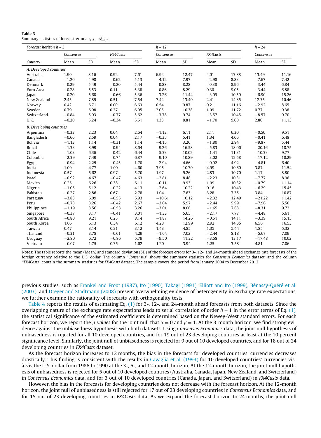#### <span id="page-7-0"></span>Table 3 Summary statistics of forecast errors:  $s_{t+h} - s_{t+h,t}^e$ .

| Forecast horizon $h = 3$       |           |      |          |      | $h = 12$  |       |          | $h = 24$ |           |       |
|--------------------------------|-----------|------|----------|------|-----------|-------|----------|----------|-----------|-------|
|                                | Consensus |      | FX4Casts |      | Consensus |       | FX4Casts |          | Consensus |       |
| Country                        | Mean      | SD   | Mean     | SD   | Mean      | SD    | Mean     | SD       | Mean      | SD    |
| A. Developed countries         |           |      |          |      |           |       |          |          |           |       |
| Australia                      | 1.90      | 8.16 | 0.92     | 7.61 | 6.92      | 12.47 | 4.01     | 13.88    | 13.49     | 11.16 |
| Canada                         | $-1.20$   | 4.98 | $-0.62$  | 5.13 | $-4.12$   | 7.97  | $-2.98$  | 8.83     | $-7.67$   | 7.42  |
| Denmark                        | $-0.29$   | 5.49 | $-0.20$  | 5.44 | $-0.88$   | 8.28  | $-0.38$  | 8.96     | $-3.44$   | 6.84  |
| Euro Area                      | $-0.28$   | 5.53 | 0.11     | 5.38 | $-0.86$   | 8.29  | 0.30     | 9.05     | $-3.44$   | 6.88  |
| Japan                          | $-0.20$   | 5.68 | $-0.66$  | 5.36 | $-3.26$   | 11.44 | $-3.09$  | 10.50    | $-6.90$   | 15.26 |
| New Zealand                    | 2.45      | 7.85 | 0.51     | 7.54 | 7.42      | 13.40 | 2.41     | 14.85    | 12.35     | 10.46 |
| Norway                         | 0.42      | 6.71 | 0.00     | 6.63 | 0.54      | 9.87  | 0.21     | 11.16    | $-2.92$   | 8.65  |
| Sweden                         | 0.79      | 6.98 | 0.27     | 6.95 | 2.05      | 10.38 | 1.09     | 11.72    | 0.77      | 9.38  |
| Switzerland                    | $-0.84$   | 5.93 | $-0.77$  | 5.62 | $-3.78$   | 9.74  | $-3.57$  | 10.45    | $-8.57$   | 9.70  |
| U.K.                           | $-0.20$   | 5.24 | $-0.34$  | 5.51 | 1.33      | 8.81  | $-1.70$  | 9.60     | 2.80      | 11.13 |
| <b>B.</b> Developing countries |           |      |          |      |           |       |          |          |           |       |
| Argentina                      | $-0.33$   | 2.23 | 0.64     | 2.64 | $-1.12$   | 6.11  | 2.11     | 6.30     | $-0.50$   | 9.51  |
| Bangladesh                     | $-0.66$   | 2.59 | 0.04     | 2.17 | $-0.35$   | 5.41  | 1.34     | 4.66     | $-0.41$   | 6.48  |
| <b>Bolivia</b>                 | $-1.13$   | 1.14 | $-0.31$  | 1.14 | $-4.15$   | 3.26  | $-1.80$  | 2.84     | $-9.87$   | 5.44  |
| <b>Brazil</b>                  | $-1.33$   | 8.99 | $-0.94$  | 8.64 | $-9.26$   | 16.58 | $-5.83$  | 18.06    | $-20.16$  | 18.75 |
| Chile                          | $-1.03$   | 6.36 | $-0.42$  | 6.44 | $-5.33$   | 10.02 | $-1.41$  | 11.31    | $-10.33$  | 9.77  |
| Colombia                       | $-2.39$   | 7.49 | $-0.74$  | 6.87 | $-9.10$   | 10.89 | $-3.02$  | 12.58    | $-17.12$  | 10.29 |
| Egypt                          | $-0.94$   | 2.25 | $-0.45$  | 1.70 | $-2.94$   | 4.66  | $-0.92$  | 4.92     | $-4.81$   | 6.40  |
| India                          | 1.09      | 4.77 | 1.00     | 4.60 | 3.95      | 10.70 | 4.99     | 10.60    | 3.87      | 11.54 |
| Indonesia                      | 0.57      | 5.62 | 0.97     | 5.70 | 1.97      | 9.26  | 2.83     | 10.70    | 1.17      | 8.80  |
| Israel                         | $-0.92$   | 4.67 | $-0.47$  | 4.63 | $-2.81$   | 8.48  | $-2.23$  | 10.31    | $-7.77$   | 8.98  |
| Mexico                         | 0.25      | 6.26 | 0.38     | 6.11 | $-0.11$   | 9.93  | 1.09     | 10.32    | $-0.79$   | 11.14 |
| Nigeria                        | $-1.05$   | 5.12 | $-0.22$  | 4.13 | $-2.64$   | 10.22 | 0.16     | 10.43    | $-6.29$   | 15.45 |
| Pakistan                       | $-0.27$   | 2.86 | 0.67     | 2.78 | 1.04      | 7.63  | 3.28     | 7.35     | 3.84      | 10.87 |
| Paraguay                       | $-3.83$   | 6.09 | $-0.55$  | 5.93 | $-10.61$  | 10.12 | $-2.32$  | 12.49    | $-21.22$  | 11.42 |
| Peru                           | $-0.78$   | 3.26 | $-0.42$  | 2.67 | $-3.64$   | 5.97  | $-2.44$  | 5.99     | $-7.96$   | 5.50  |
| Philippines                    | $-1.19$   | 3.56 | $-0.58$  | 3.26 | $-3.01$   | 8.06  | $-1.65$  | 7.68     | $-8.31$   | 9.72  |
| Singapore                      | $-0.37$   | 3.17 | $-0.41$  | 3.01 | $-1.33$   | 5.65  | $-2.17$  | 7.77     | $-4.48$   | 5.61  |
| South Africa                   | $-0.80$   | 9.21 | 0.25     | 8.14 | $-1.87$   | 14.26 | $-0.51$  | 14.11    | $-3.39$   | 15.15 |
| South Korea                    | 1.06      | 6.13 | 0.34     | 6.12 | 4.28      | 12.99 | 2.92     | 14.35    | 6.56      | 16.53 |
| Taiwan                         | 0.47      | 3.14 | 0.21     | 3.12 | 1.43      | 4.85  | 1.35     | 5.44     | 1.85      | 5.32  |
| Thailand                       | $-0.31$   | 3.78 | $-0.61$  | 4.29 | $-1.64$   | 7.02  | $-2.44$  | 8.18     | $-5.67$   | 7.09  |
| Uruguay                        | $-2.80$   | 6.72 | $-0.86$  | 5.79 | $-9.50$   | 11.32 | $-3.58$  | 13.17    | $-17.48$  | 10.02 |
| Vietnam                        | $-0.07$   | 1.75 | 0.35     | 1.62 | 1.20      | 3.94  | 1.25     | 3.58     | 4.81      | 7.06  |

Notes: The table reports the mean (Mean) and standard deviation (SD) of the forecast errors for 3-, 12-, and 24-month ahead exchange rate forecasts of the foreign currency relative to the U.S. dollar. The column ''Consensus" shows the summary statistics for Consensus Economics dataset, and the column ''FX4Casts" contain the summary statistics for FX4Casts dataset. The sample covers the period from January 2004 to December 2012.

previous studies, such as [Frankel and Froot \(1987\), Ito \(1990\), Takagi \(1991\), Elliott and Ito \(1999\), Bénassy-Quéré et al.](#page-21-0) [\(2003\),](#page-21-0) and [Dreger and Stadtmann \(2008\)](#page-20-0) present overwhelming evidence of heterogeneity in exchange rate expectations, we further examine the rationality of forecasts with orthogonality tests.

[Table 4](#page-10-0) reports the results of estimating Eq. [\(1\)](#page-6-0) for 3-, 12-, and 24-month ahead forecasts from both datasets. Since the overlapping nature of the exchange rate expectations leads to serial correlation of order  $h-1$  in the error terms of Eq. [\(1\)](#page-6-0), the statistical significance of the estimated coefficients is determined based on the Newey-West standard errors. For each forecast horizon, we report the p-values for the joint null that  $\alpha = 0$  and  $\beta = 1$ . At the 3-month horizon, we find strong evidence against the unbiasedness hypothesis with both datasets. Using Consensus Economics data, the joint null hypothesis of unbiasedness is rejected for all 10 developed countries, and for 19 out of 23 developing countries at least at the 10 percent significance level. Similarly, the joint null of unbiasedness is rejected for 9 out of 10 developed countries, and for 18 out of 24 developing countries in FX4Casts dataset.

As the forecast horizon increases to 12 months, the bias in the forecasts for developed countries' currencies decreases drastically. This finding is consistent with the results in [Cavaglia et al. \(1993\)](#page-20-0) for 10 developed countries' currencies visà-vis the U.S. dollar from 1986 to 1990 at the 3-, 6-, and 12-month horizon. At the 12-month horizon, the joint null hypothesis of unbiasedness is rejected for 5 out of 10 developed countries (Australia, Canada, Japan, New Zealand, and Switzerland) in Consensus Economics data, and for 3 out of 10 developed countries (Canada, Japan, and Switzerland) in FX4Casts data.

However, the bias in the forecasts for developing countries does not decrease with the forecast horizon. At the 12-month horizon, the joint null of unbiasedness is still rejected for 17 out of 23 developing countries in Consensus Economics data, and for 15 out of 23 developing countries in FX4Casts data. As we expand the forecast horizon to 24 months, the joint null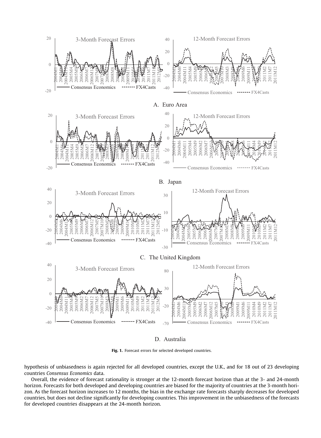<span id="page-8-0"></span>

D. Australia

Fig. 1. Forecast errors for selected developed countries.

hypothesis of unbiasedness is again rejected for all developed countries, except the U.K., and for 18 out of 23 developing countries Consensus Economics data.

Overall, the evidence of forecast rationality is stronger at the 12-month forecast horizon than at the 3- and 24-month horizon. Forecasts for both developed and developing countries are biased for the majority of countries at the 3-month horizon. As the forecast horizon increases to 12 months, the bias in the exchange rate forecasts sharply decreases for developed countries, but does not decline significantly for developing countries. This improvement in the unbiasedness of the forecasts for developed countries disappears at the 24-month horizon.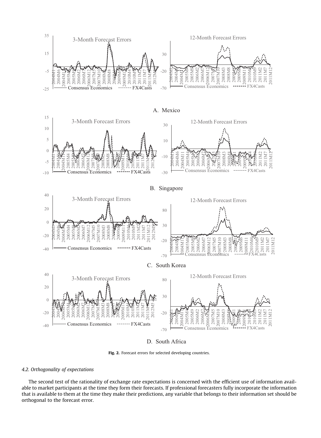

D. South Africa

Fig. 2. Forecast errors for selected developing countries.

#### 4.2. Orthogonality of expectations

The second test of the rationality of exchange rate expectations is concerned with the efficient use of information available to market participants at the time they form their forecasts. If professional forecasters fully incorporate the information that is available to them at the time they make their predictions, any variable that belongs to their information set should be orthogonal to the forecast error.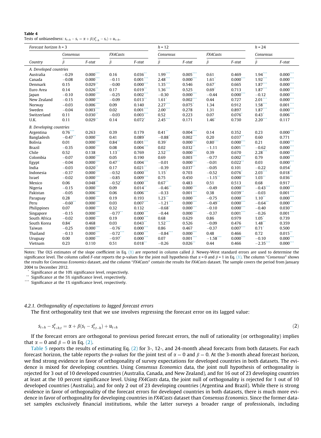<span id="page-10-0"></span>

| Table 4                                                                              |  |
|--------------------------------------------------------------------------------------|--|
| Tests of unbiasedness: $s_{t+h} - s_t = \alpha + \beta(s_{t+h}^e - s_t) + u_{t+h}$ . |  |

| Forecast horizon $h = 3$       |                     |                         | $h = 12$             |                      |                      |             | $h = 24$            |                         |                     |                         |
|--------------------------------|---------------------|-------------------------|----------------------|----------------------|----------------------|-------------|---------------------|-------------------------|---------------------|-------------------------|
|                                | Consensus           |                         | FX4Casts             |                      | Consensus            |             | FX4Casts            |                         | Consensus           |                         |
| Country                        | $\hat{\beta}$       | F-stat                  | $\hat{\beta}$        | F-stat               | $\hat{\beta}$        | F-stat      | $\hat{\beta}$       | F-stat                  | $\hat{\beta}$       | F-stat                  |
| A. Developed countries         |                     |                         |                      |                      |                      |             |                     |                         |                     |                         |
| Australia                      | $-0.29$             | $0.000***$              | 0.16                 | $0.036**$            | $1.99***$            | $0.005***$  | 0.61                | 0.469                   | $1.94***$           | $0.000***$              |
| Canada                         | $-0.08$             | $0.000*$                | $-0.11$              | $0.001$ ***          | 2.48                 | $0.000*$    | $1.61$ <sup>*</sup> | $0.000$ ***             | $1.92$ ***          | $0.000$ **              |
| Denmark                        | 0.15                | $0.029$ **              | $-0.00$              | $0.000***$           | $1.35***$            | 0.546       | $0.67$ <sup>*</sup> | 0.665                   | $1.87***$           | $0.000***$              |
| Euro Area                      | 0.14                | $0.026$ **              | 0.17                 | $0.019***$           | $1.36***$            | 0.525       | 0.69"               | 0.713                   | $1.87***$           | $0.000***$              |
| Japan                          | $-0.10$             | $0.000***$              | $-0.25$              | $0.002***$           | $-0.30$              | $0.000***$  | $-0.44$             | $0.000***$              | $-0.12$             | $0.000***$              |
| New Zealand                    | $-0.15$             | $0.000\overset{***}{ }$ | $-0.09$              | $0.013$ **           | $1.61$ <sup>*</sup>  | $0.002***$  | 0.44                | 0.727                   | $2.01***$           | $0.000\overset{***}{ }$ |
| Norway                         | $-0.03$             | $0.006***$              | 0.09                 | 0.140                | $2.27***$            | 0.075       | 1.34                | 0.912                   | $1.58***$           | $0.001***$              |
| Sweden                         | $-0.04$             | $0.003$ ****            | 0.02                 | $0.001***$           | $2.00***$            | 0.278       | 1.31                | 0.897                   | $1.87***$           | $0.000***$              |
| Switzerland                    | 0.11                | 0.030                   | $-0.03$              | $0.003$ ***          | 0.52                 | 0.223       | 0.07                | 0.076                   | $0.43$ <sup>*</sup> | 0.006                   |
| U.K.                           | 0.11                | $0.029$ **              | 0.14                 | $0.072$ <sup>*</sup> | $2.45***$            | 0.171       | 1.46                | 0.730                   | $2.20***$           | 0.117                   |
| <b>B.</b> Developing countries |                     |                         |                      |                      |                      |             |                     |                         |                     |                         |
| Argentina                      | $0.76$ ***          | 0.263                   | 0.39                 | 0.179                | $0.41$ **            | $0.004***$  | 0.14                | 0.352                   | 0.23                | $0.000***$              |
| Bangladesh                     | $-0.47$ **          | $0.000***$              | 0.41                 | $0.089$ <sup>*</sup> | $-0.88$              | $0.002$ *** | 0.20                | $0.037$ **              | 0.60                | 0.771                   |
| <b>Bolivia</b>                 | 0.01                | $0.000***$              | 0.84                 | $0.001$ ***          | $0.39^{*}$           | $0.000$ *** | $0.80***$           | $0.000***$              | 0.21                | $0.000$ ***             |
| <b>Brazil</b>                  | $-0.35$             | $0.000***$              | 0.08                 | $0.004$ ***          | 0.02                 | $0.032$ **  | $-1.11$             | $0.001***$              | $-0.62$             | $0.000$ ***             |
| Chile                          | 0.52                | 0.138                   | $1.13$ <sup>**</sup> | 0.769                | 2.52                 | $0.000*$    | 0.39                | 0.670                   | $2.28$ **           | $0.000***$              |
| Colombia                       | $-0.07$             | $0.000***$              | 0.05                 | 0.190                | 0.69                 | $0.003***$  | $-0.77$             | $0.002***$              | 0.79                | $0.000***$              |
| Egypt                          | $-0.04$             | $0.000***$              | $0.47$ **            | $0.004***$           | $-0.01$              | $0.000***$  | $-0.01$             | $0.022$ **              | 0.03                | $0.000***$              |
| India                          | $-0.03$             | $0.020$ **              | 0.17                 | $0.021$ **           | $-0.39$              | $0.037**$   | $-0.05$             | 0.101                   | $-0.22$             | $0.054*$                |
| Indonesia                      | $-0.37$             | $0.000***$              | $-0.52$              | $0.000***$           | $1.15$ <sup>*</sup>  | 0.703       | $-0.52$             | $0.076*$                | $2.03***$           | $0.018$ **              |
| Israel                         | $-0.02$             | $0.000$ ***             | $-0.85$              | $0.009$ ***          | 0.75                 | 0.450       | $-1.15$ **          | $0.000$ ***             | $1.03$ **           | $0.036$ **              |
| Mexico                         | 0.06                | 0.048                   | $-0.52$ <sup>*</sup> | $0.000***$           | $0.67$ **            | 0.483       | 0.51                | 0.513                   | 0.68                | 0.917                   |
| Nigeria                        | $-0.15$             | $0.000***$              | 0.09                 | $0.014$ **           | $-0.46$ <sup>*</sup> | $0.000^*$   | $-0.49$             | $0.000***$              | $-0.43$ ***         | $0.000$ ***             |
| Pakistan                       | $-0.05$             | $0.006***$              | 0.06                 | $0.006***$           | $-0.33$              | $0.001***$  | 0.38                | $0.039$ **              | $-0.03$             | $0.001***$              |
| Paraguay                       | 0.28                | $0.000***$              | 0.19                 | 0.193                | 1.23                 | $0.000***$  | $-0.75$             | $0.000***$              | $1.10$ **           | $0.000***$              |
| Peru                           | $-0.60$ **          | $0.000***$              | 0.03                 | $0.007***$           | $-1.21$ ***          | $0.000*$    | $-0.49$ **          | $0.000***$              | $-0.64$ **          | $0.000$ ***             |
| Philippines                    | 0.07                | $0.000***$              | 0.32                 | 0.132                | $-0.68$              | $0.000$ *** | $-0.10$             | $0.000***$              | $-0.40$             | $0.030$ **              |
| Singapore                      | $-0.15$             | 0.000"                  | $-0.77$ **           | $0.000$ ***          | $-0.44$              | $0.000^*$   | $-0.37$             | $0.001$ <sup>****</sup> | $-0.26$             | $0.001$ ***             |
| South Africa                   | $-0.02$             | $0.000***$              | 0.19                 | $0.000***$           | 0.68                 | 0.629       | 0.86                | 0.979                   | 1.05                | 0.739                   |
| South Korea                    | $0.84$ <sup>*</sup> | 0.468                   | 0.03                 | $0.043$ **           | $1.52***$            | 0.526       | $-0.09$             | 0.476                   | $1.48$ **           | 0.359                   |
| Taiwan                         | $-0.25$             | $0.000***$              | $-0.76*$             | $0.000***$           | 0.86                 | 0.467       | $-0.37$             | $0.007***$              | $0.71$ <sup>*</sup> | 0.500                   |
| Thailand                       | $-0.13$             | $0.000***$              | $-0.72$ ***          | $0.000***$           | $-0.84$ ***          | $0.000***$  | 0.48                | 0.466                   | 0.72                | $0.015$ **              |
| Uruguay                        | 0.00                | $0.000***$              | $-0.97$ <sup>*</sup> | $0.000***$           | 0.07                 | 0.001       | $-1.58$ ***         | 0.000                   | $-0.10$             | $0.000***$              |
| Vietnam                        | 0.23                | 0.110                   | 0.51                 | $0.018$ **           | $-0.26$              | $0.026$ **  | 0.44                | 0.466                   | $-2.35$ ***         | $0.000***$              |
|                                |                     |                         |                      |                      |                      |             |                     |                         |                     |                         |

Notes: The OLS estimates of the slope coefficient in Eq. [\(1\)](#page-6-0) are reported in column called  $\hat{\beta}$ . Newey-West standard errors are used to determine the significance level. The column called F-stat reports the p-values for the joint null hypothesis that  $\alpha = 0$  and  $\beta = 1$  in Eq. [\(1\).](#page-6-0) The column "Consensus" shows the results for Consensus Economics dataset, and the column "FX4Casts" contain the results for FX4Casts dataset. The sample covers the period from January 2004 to December 2012.

Significance at the 10% significance level, respectively.

Significance at the 5% significance level, respectively.

\*\*\* Significance at the 1% significance level, respectively.

#### 4.2.1. Orthogonality of expectations to lagged forecast errors

The first orthogonality test that we use involves regressing the forecast error on its lagged value:

$$
s_{t+h} - s_{t+h,t}^e = \alpha + \beta(s_t - s_{t,t-h}^e) + u_{t+h}
$$
\n(2)

If the forecast errors are orthogonal to previous period forecast errors, the null of rationality (or orthogonality) implies that  $\alpha = 0$  and  $\beta = 0$  in Eq. (2).

[Table 5](#page-11-0) reports the results of estimating Eq. (2) for 3-, 12-, and 24-month ahead forecasts from both datasets. For each forecast horizon, the table reports the *p*-values for the joint test of  $\alpha = 0$  and  $\beta = 0$ . At the 3-month ahead forecast horizon, we find strong evidence in favor of orthogonality of survey expectations for developed countries in both datasets. The evidence is mixed for developing countries. Using Consensus Economics data, the joint null hypothesis of orthogonality is rejected for 3 out of 10 developed countries (Australia, Canada, and New Zealand), and for 16 out of 23 developing countries at least at the 10 percent significance level. Using FX4Casts data, the joint null of orthogonality is rejected for 1 out of 10 developed countries (Australia), and for only 2 out of 23 developing countries (Argentina and Brazil). While there is strong evidence in favor of orthogonality of the forecast errors for developed countries in both datasets, there is much more evidence in favor of orthogonality for developing countries in FX4Casts dataset than Consensus Economics. Since the former dataset samples exclusively financial institutions, while the latter surveys a broader range of professionals, including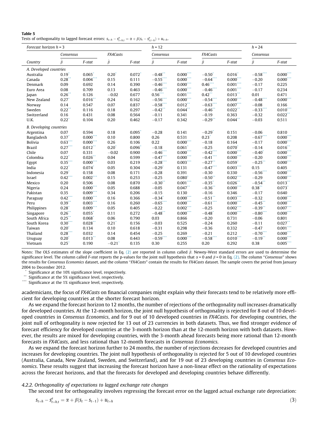<span id="page-11-0"></span>

| Table 5 |                                                                                                                           |
|---------|---------------------------------------------------------------------------------------------------------------------------|
|         | Tests of orthogonality to lagged forecast errors: $s_{t+h} - s_{t+h,t}^e = \alpha + \beta(s_t - s_{t,t-h}^e) + u_{t+h}$ . |

| FX4Casts<br>FX4Casts<br>Consensus<br>Consensus<br>Consensus<br>$\hat{\beta}$<br>$\hat{\beta}$<br>$\hat{\beta}$<br>$\hat{\beta}$<br>$\hat{\beta}$<br>$F$ -stat<br>F-stat<br>$F$ -stat<br>F-stat<br>F-stat<br>Country |  |
|---------------------------------------------------------------------------------------------------------------------------------------------------------------------------------------------------------------------|--|
|                                                                                                                                                                                                                     |  |
|                                                                                                                                                                                                                     |  |
| A. Developed countries                                                                                                                                                                                              |  |
| $-0.58***$<br>$0.000***$<br>$0.000***$<br>0.065<br>0.20<br>$0.072$ <sup>*</sup><br>$-0.48$<br>0.016<br>$0.19^{\degree}$<br>$-0.50$ <sup>*</sup><br>Australia                                                        |  |
| $0.28$ <sup>*</sup><br>$0.004$ <sup>*</sup><br>0.15<br>$-0.55$ <sup>*</sup><br>$0.000^*$<br>$-0.64$ <sup>*</sup><br>0.000<br>Canada<br>0.111<br>$-0.20$<br>$0.000*$                                                 |  |
| $-0.46$ ***<br>0.390<br>$0.46$ ***<br>$0.001***$<br>0.09<br>0.692<br>0.14<br>$0.000***$<br>$-0.17$<br>Denmark<br>0.225                                                                                              |  |
| $-0.46$ ***<br>$0.000***$<br>$0.001***$<br>0.08<br>0.13<br>$-0.46$ ***<br>$-0.17$<br>0.709<br>0.463<br>0.234<br>Euro Area                                                                                           |  |
| $0.001***$<br>0.26<br>$-0.02$<br>$0.56***$<br>$0.42$ **<br>$0.013$ **<br>0.471<br>0.126<br>0.677<br>0.01<br>Japan                                                                                                   |  |
| $-0.56$ ***<br>$-0.54$ ***<br>$-0.48$ ***<br>$0.000***$<br>$0.000***$<br>$0.000$ **<br>$0.27$ <sup>*</sup><br>$0.016$ <sup>**</sup><br>0.24<br>0.162<br>New Zealand                                                 |  |
| $-0.63$ ***<br>$0.007***$<br>0.07<br>0.14<br>0.547<br>0.837<br>$-0.58$<br>$0.012$ <sup>**</sup><br>$-0.08$<br>0.166<br>Norway                                                                                       |  |
| 0.22<br>$-0.33$ ***<br>0.116<br>0.18<br>0.297<br>$-0.42$ <sup>**</sup><br>0.044<br>$-0.46$ <sup>*</sup><br>$0.022$ **<br>$0.010$ ***<br>Sweden                                                                      |  |
| 0.363<br>0.16<br>0.431<br>0.08<br>0.564<br>$-0.11$<br>0.341<br>$-0.19$<br>$-0.32$<br>0.022<br>Switzerland                                                                                                           |  |
| 0.22"<br>0.20<br>$-0.17$<br>0.342<br>$-0.29$ **<br>$0.044$ **<br>$-0.03$<br>U.K.<br>0.104<br>0.462<br>0.511                                                                                                         |  |
| <b>B.</b> Developing countries                                                                                                                                                                                      |  |
| 0.07<br>0.594<br>0.18<br>0.095<br>$-0.28$<br>0.141<br>$-0.29$ <sup>*</sup><br>0.151<br>$-0.06$<br>0.810<br>Argentina                                                                                                |  |
| 0.23<br>$-0.67$ ***<br>$0.37$ <sup>*</sup><br>$0.000$ ***<br>0.10<br>0.26<br>0.531<br>0.208<br>$0.000***$<br>0.800<br>Bangladesh                                                                                    |  |
| $0.63*$<br>$0.000^*$<br>0.26<br>0.22<br>$0.000^{\circ}$<br>$-0.18$<br>0.164<br><b>Bolivia</b><br>0.106<br>$-0.17$<br>$0.000$ **                                                                                     |  |
| $0.27***$<br>0.20<br>0.061<br>0.070<br>$0.012$ **<br>0.096<br>$-0.18$<br>$-0.25$<br>$-0.14$<br>$0.016$ <sup>**</sup><br><b>Brazil</b>                                                                               |  |
| $-0.46$ ***<br>$-0.42$ ***<br>$0.000$ ***<br>$-0.02$<br>$0.000$ **<br>$-0.40$<br>$0.000***$<br>Chile<br>0.07<br>0.331<br>0.900                                                                                      |  |
| $-0.47***$<br>$-0.41$ ***<br>$0.22$ <sup>*</sup><br>$0.026$ **<br>0.04<br>$0.000***$<br>$0.000***$<br>Colombia<br>0.599<br>$-0.20$<br>$0.000***$                                                                    |  |
| $-0.28***$<br>0.35<br>$0.000***$<br>0.03<br>0.219<br>$0.003$ ***<br>$0.059$ <sup>*</sup><br>$-0.25$ **<br>$0.000***$<br>$-0.27$ **<br>Egypt                                                                         |  |
| $-0.47***$<br>$0.003***$<br>0.15<br>$0.22^*$<br>$0.074$ <sup>*</sup><br>0.05<br>0.304<br>$-0.29$<br>0.405<br>India<br>0.131                                                                                         |  |
| 0.29<br>0.391<br>$-0.56$ ***<br>$0.000***$<br>0.158<br>0.08<br>0.171<br>$-0.28$<br>$-0.30$<br>0.330<br>Indonesia                                                                                                    |  |
| $0.42^*$<br>$0.002^*$<br>0.080<br>$0.002$ ***<br>0.15<br>0.253<br>$-0.25$<br>$-0.50$ <sup>*</sup><br>$-0.29$<br>$0.000$ **<br>Israel                                                                                |  |
| $0.001***$<br>0.026<br>0.20<br>0.506<br>0.08<br>0.870<br>$-0.30$<br>$-0.35$ <sup>*</sup><br>$-0.54$ **<br>$0.013$ <sup>**</sup><br>Mexico                                                                           |  |
| $0.000***$<br>$0.000***$<br>$-0.36$ **<br>0.38<br>0.24<br>0.05<br>0.688<br>$-0.05$<br>$0.047$ **<br>$0.073$ <sup>*</sup><br>Nigeria                                                                                 |  |
| 0.35<br>0.640<br>$0.009***$<br>0.34<br>0.206<br>$-0.15$<br>0.130<br>$-0.16$<br>0.346<br>$-0.17$<br>Pakistan                                                                                                         |  |
| $0.000***$<br>$0.000***$<br>$0.003***$<br>$0.000***$<br>$0.42$ ***<br>$-0.34$ <sup>*</sup><br>$-0.51$ **<br>$-0.32$<br>0.16<br>0.366<br>Paraguay                                                                    |  |
| $-0.61$ ***<br>$0.003***$<br>$0.000***$<br>$0.000***$<br>$0.000***$<br>0.39<br>$-0.65$ <sup>*</sup><br>$-0.45$ **<br>0.16<br>0.260<br>Peru                                                                          |  |
| 0.28<br>$0.009*$<br>0.05<br>$-0.22$<br>$0.002^*$<br>$-0.25$<br>$0.002$ ***<br>$-0.39$ **<br>$0.007$ ***<br>Philippines<br>0.405                                                                                     |  |
| $-0.80$ ***<br>0.26<br>$0.000^*$<br>$0.000***$<br>0.055<br>0.11<br>0.272<br>$-0.48$ <sup>*</sup><br>$-0.48$<br>$0.000***$<br>Singapore                                                                              |  |
| 0.25<br>0.068<br>0.06<br>0.790<br>0.03<br>0.866<br>$-0.20$<br>0.731<br>$-0.06$<br>South Africa<br>0.801                                                                                                             |  |
| $0.30^{*}$<br>$0.028$ **<br>$0.21$ <sup>*</sup><br>$-0.03$<br>0.525<br>$-0.24$<br>0.260<br>$0.027$ **<br>0.156<br>$-0.11$<br>South Korea                                                                            |  |
| 0.20<br>0.298<br>0.332<br>$0.001$ **<br>0.134<br>0.10<br>0.618<br>$-0.31$<br>$-0.36$<br>$-0.47$<br>Taiwan                                                                                                           |  |
| $-0.70***$<br>$0.28***$<br>$0.000***$<br>0.032<br>$-0.25$<br>0.269<br>0.212<br>0.14<br>0.454<br>$-0.21$<br>Thailand                                                                                                 |  |
| $-0.59$ ***<br>$0.010$ ***<br>$0.000***$<br>$0.013$ **<br>$0.000$ ***<br>$-0.58$ ***<br>0.20<br>0.08<br>0.443<br>$-0.19$ **<br>Uruguay                                                                              |  |
| 0.25<br>0.190<br>$-0.21$ <sup>*</sup><br>0.135<br>0.30<br>0.255<br>0.20<br>0.292<br>0.38<br>$0.005$ ***<br>Vietnam                                                                                                  |  |

Notes: The OLS estimates of the slope coefficient in Eq. [\(2\)](#page-10-0) are reported in column called  $\hat{\beta}$ . Newey-West standard errors are used to determine the significance level. The column called F-stat reports the p-values for the joint null hypothesis that  $\alpha = 0$  and  $\beta = 0$  in Eq. [\(2\)](#page-10-0). The column "Consensus" shows the results for Consensus Economics dataset, and the column "FX4Casts" contain the results for FX4Casts dataset. The sample covers the period from January 2004 to December 2012.

Significance at the 10% significance level, respectively.

Significance at the 5% significance level, respectively.

\*\*\* Significance at the 1% significance level, respectively.

academicians, the focus of FX4Casts on financial companies might explain why their forecasts tend to be relatively more efficient for developing countries at the shorter forecast horizon.

As we expand the forecast horizon to 12 months, the number of rejections of the orthogonality null increases dramatically for developed countries. At the 12-month horizon, the joint null hypothesis of orthogonality is rejected for 8 out of 10 developed countries in Consensus Economics, and for 9 out of 10 developed countries in FX4Casts. For developing countries, the joint null of orthogonality is now rejected for 13 out of 23 currencies in both datasets. Thus, we find stronger evidence of forecast efficiency for developed countries at the 3-month horizon than at the 12-month horizon with both datasets. However, the results are mixed for developing countries, with the 3-month ahead forecasts being more rational than 12-month forecasts in FX4Casts, and less rational than 12-month forecasts in Consensus Economics.

As we expand the forecast horizon further to 24 months, the number of rejections decreases for developed countries and increases for developing countries. The joint null hypothesis of orthogonality is rejected for 5 out of 10 developed countries (Australia, Canada, New Zealand, Sweden, and Switzerland), and for 19 out of 23 developing countries in Consensus Economics. These results suggest that increasing the forecast horizon have a non-linear effect on the rationality of expectations across the forecast horizons, and that the forecasts for developed and developing countries behave differently.

#### 4.2.2. Orthogonality of expectations to lagged exchange rate changes

The second test for orthogonality involves regressing the forecast error on the lagged actual exchange rate depreciation:

$$
s_{t+h} - s_{t+h,t}^e = \alpha + \beta(s_t - s_{t-1}) + u_{t+h}
$$
\n(3)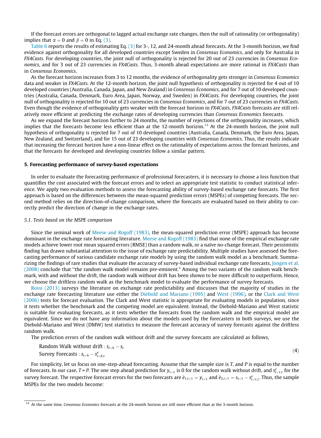If the forecast errors are orthogonal to lagged actual exchange rate changes, then the null of rationality (or orthogonality) implies that  $\alpha = 0$  and  $\beta = 0$  in Eq. [\(3\).](#page-11-0)

[Table 6](#page-13-0) reports the results of estimating Eq. [\(3\)](#page-11-0) for 3-, 12, and 24-month ahead forecasts. At the 3-month horizon, we find evidence against orthogonality for all developed countries except Sweden in Consensus Economics, and only for Australia in FX4Casts. For developing countries, the joint null of orthogonality is rejected for 20 out of 23 currencies in Consensus Economics, and for 3 out of 23 currencies in FX4Casts. Thus, 3-month ahead expectations are more rational in FX4Casts than in Consensus Economics.

As the forecast horizon increases from 3 to 12 months, the evidence of orthogonality gets stronger in Consensus Economics data and weaker in FX4Casts. At the 12-month horizon, the joint null hypothesis of orthogonality is rejected for 4 out of 10 developed countries (Australia, Canada, Japan, and New Zealand) in Consensus Economics, and for 7 out of 10 developed countries (Australia, Canada, Denmark, Euro Area, Japan, Norway, and Sweden) in FX4Casts. For developing countries, the joint null of orthogonality is rejected for 10 out of 23 currencies in Consensus Economics, and for 7 out of 23 currencies in FX4Casts. Even though the evidence of orthogonality gets weaker with the forecast horizon in FX4Casts, FX4Casts forecasts are still relatively more efficient at predicting the exchange rates of developing currencies than Consensus Economics forecasts.

As we expand the forecast horizon further to 24 months, the number of rejections of the orthogonality increases, which implies that the forecasts become less efficient than at the 12-month horizon.<sup>14</sup> At the 24-month horizon, the joint null hypothesis of orthogonality is rejected for 7 out of 10 developed countries (Australia, Canada, Denmark, the Euro Area, Japan, New Zealand, and Switzerland), and for 15 out of 23 developing countries with Consensus Economics. Thus, the results indicate that increasing the forecast horizon have a non-linear effect on the rationality of expectations across the forecast horizons, and that the forecasts for developed and developing countries follow a similar pattern.

#### 5. Forecasting performance of survey-based expectations

In order to evaluate the forecasting performance of professional forecasters, it is necessary to choose a loss function that quantifies the cost associated with the forecast errors and to select an appropriate test statistic to conduct statistical inference. We apply two evaluation methods to assess the forecasting ability of survey-based exchange rate forecasts. The first approach is based on the differences between the mean-squared prediction errors (MSPEs) of competing forecasts. The second method relies on the direction-of-change comparison, where the forecasts are evaluated based on their ability to correctly predict the direction of change in the exchange rates.

#### 5.1. Tests based on the MSPE comparison

Since the seminal work of [Meese and Rogoff \(1983\),](#page-21-0) the mean-squared prediction error (MSPE) approach has become dominant in the exchange rate forecasting literature. [Meese and Rogoff \(1983\)](#page-21-0) find that none of the empirical exchange rate models achieve lower root mean squared errors (RMSE) than a random walk, or a naïve no-change forecast. Their pessimistic finding has drawn substantial attention to the issue of exchange rate predictability. Multiple studies have assessed the forecasting performance of various candidate exchange rate models by using the random walk model as a benchmark. Summarizing the findings of rare studies that evaluate the accuracy of survey-based individual exchange rate forecasts, [Jongen et al.](#page-21-0) [\(2008\)](#page-21-0) conclude that ''the random walk model remains pre-eminent." Among the two variants of the random walk benchmark, with and without the drift, the random walk without drift has been shown to be more difficult to outperform. Hence, we choose the driftless random walk as the benchmark model to evaluate the performance of survey forecasts.

[Rossi \(2013\)](#page-21-0) surveys the literature on exchange rate predictability and discusses that the majority of studies in the exchange rate forecasting literature use either the [Diebold and Mariano \(1995\)](#page-20-0) and [West \(1996\)](#page-21-0), or the [Clark and West](#page-20-0) [\(2006\)](#page-20-0) tests for forecast evaluation. The Clark and West statistic is appropriate for evaluating models in population, since it tests whether the benchmark and the competing model are equivalent. Instead, the Diebold-Mariano and West statistic is suitable for evaluating forecasts, as it tests whether the forecasts from the random walk and the empirical model are equivalent. Since we do not have any information about the models used by the forecasters in both surveys, we use the Diebold-Mariano and West (DMW) test statistics to measure the forecast accuracy of survey forecasts against the driftless random walk.

The prediction errors of the random walk without drift and the survey forecasts are calculated as follows,

Random Walk without drift: 
$$
s_{t+h} - s_t
$$
  
Survey Forecasts:  $s_{t+h} - s_{t+h,t}^e$  (4)

For simplicity, let us focus on one-step-ahead forecasting. Assume that the sample size is T, and P is equal to the number of forecasts. In our case, T = P. The one step ahead prediction for  $y_{t+1}$  is 0 for the random walk without drift, and  $s_{t+1,t}^e$  for the survey forecast. The respective forecast errors for the two forecasts are  $\hat{e}_{1,t+1} = y_{t+1}$  and  $\hat{e}_{2,t+1} = s_{t+1} - s_{t+1,t}^e$ . Thus, the sample MSPEs for the two models become:

<sup>&</sup>lt;sup>14</sup> At the same time, Consensus Economics forecasts at the 24-month horizon are still more efficient than at the 3-month horizon.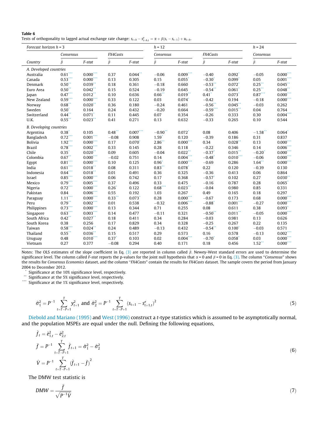<span id="page-13-0"></span>

| Table 6                                                                                                                           |  |
|-----------------------------------------------------------------------------------------------------------------------------------|--|
| Tests of orthogonality to lagged actual exchange rate change: $s_{t+h} - s_{t+h,t}^e = \alpha + \beta(s_t - s_{t-1}) + u_{t+h}$ . |  |

| FX4Casts<br>FX4Casts<br>Consensus<br>Consensus<br>Consensus<br>$\hat{\beta}$<br>$\hat{\beta}$<br>$\hat{\beta}$<br>$\hat{\beta}$<br>$\hat{\boldsymbol{\beta}}$<br>$F\text{-}stat$<br>$F$ -stat<br>F-stat<br>F-stat<br>F-stat<br>Country<br>A. Developed countries |
|------------------------------------------------------------------------------------------------------------------------------------------------------------------------------------------------------------------------------------------------------------------|
|                                                                                                                                                                                                                                                                  |
|                                                                                                                                                                                                                                                                  |
|                                                                                                                                                                                                                                                                  |
| $0.000***$<br>$0.009***$<br>$0.044$ **<br>$0.000$ **<br>$0.61$ <sup>*</sup><br>0.37<br>0.092<br>$-0.06$<br>$-0.40$<br>$-0.05$<br>Australia                                                                                                                       |
| $0.53$ <sup>*</sup><br>$0.000***$<br>$-0.30$ <sup>*</sup><br>$0.099$ <sup>*</sup><br>0.05<br>$0.001$ ***<br>0.13<br>0.305<br>0.15<br>0.055<br>Canada                                                                                                             |
| $0.50$ *<br>$-0.53$ **<br>$0.25$ **<br>$0.039$ **<br>0.18<br>0.361<br>$-0.18$<br>0.660<br>$0.072$ <sup>*</sup><br>$0.045$ **<br>Denmark                                                                                                                          |
| $0.50$ **<br>$0.25$ **<br>$0.042$ **<br>0.524<br>0.645<br>$-0.54$ **<br>0.061<br>0.048<br>Euro Area<br>0.15<br>$-0.19$                                                                                                                                           |
| $0.47***$<br>$0.000***$<br>$0.012$ **<br>0.636<br>$0.66$ **<br>$0.019**$<br>$0.87***$<br>0.10<br>$0.41$ <sup>*</sup><br>$0.073*$<br>Japan                                                                                                                        |
| $0.000***$<br>0.59<br>$-0.42$<br>0.33<br>0.122<br>0.03<br>$0.074$ <sup>*</sup><br>0.194<br>$-0.18$<br>$0.000$ **<br>New Zealand                                                                                                                                  |
| 0.68"<br>$0.020$ **<br>$-0.24$<br>0.461<br>$-0.56$<br>$0.045$ **<br>0.36<br>0.180<br>$-0.03$<br>0.262<br>Norway                                                                                                                                                  |
| $-0.59$ ***<br>0.50<br>0.24<br>0.432<br>$-0.20$<br>0.664<br>0.764<br>0.164<br>$0.015$ **<br>0.04<br>Sweden                                                                                                                                                       |
| $0.004$ **<br>$0.44$ <sup>**</sup><br>0.071<br>0.11<br>0.445<br>0.07<br>0.354<br>0.30<br>$-0.26$<br>0.333<br>Switzerland                                                                                                                                         |
| $0.55$ <sup>*</sup><br>$0.023$ **<br>0.41<br>0.271<br>0.13<br>0.632<br>0.10<br>U.K.<br>$-0.33$<br>0.265<br>0.544                                                                                                                                                 |
| <b>B.</b> Developing countries                                                                                                                                                                                                                                   |
| 0.105<br>0.48<br>$0.007***$<br>$-0.90$ <sup>**</sup><br>$0.072*$<br>0.08<br>$-1.58$<br>$0.38*$<br>0.406<br>$0.064$ <sup>*</sup><br>Argentina                                                                                                                     |
| 0.72<br>$0.001$ <sup>*</sup><br>$-0.08$<br>0.908<br>1.59<br>0.120<br>$-0.39$<br>0.186<br>0.31<br>0.837<br>Bangladesh                                                                                                                                             |
| $0.000***$<br>$1.92$ ***<br>2.86<br>$0.000***$<br>$0.000***$<br>0.17<br>$0.070^{*}$<br>0.34<br>0.028<br>0.13<br><b>Bolivia</b>                                                                                                                                   |
| $0.78$ <sup>*</sup><br>$0.002$ <sup>*</sup><br>0.33<br>$-0.22$<br>0.346<br>0.14<br>$0.006*$<br><b>Brazil</b><br>0.145<br>0.28<br>0.118                                                                                                                           |
| $0.35^*$<br>$0.020$ **<br>0.09<br>0.605<br>$0.022$ **<br>$-0.37$ <sup>*</sup><br>$0.015$ **<br>$-0.20$<br>$0.000***$<br>Chile<br>$-0.04$                                                                                                                         |
| $0.000***$<br>$0.004***$<br>$0.67$ **<br>$0.010***$<br>$0.000***$<br>$-0.02$<br>0.751<br>$-0.48$ <sup>*</sup><br>Colombia<br>0.14<br>$-0.06$                                                                                                                     |
| $0.000***$<br>$0.000***$<br>$0.81$ <sup>*</sup><br>0.125<br>$0.96*$<br>$-0.69$<br>$1.64$ **<br>0.10<br>0.286<br>$0.000***$<br>Egypt                                                                                                                              |
| $0.61***$<br>0.22<br>0.018<br>0.08<br>0.311<br>$0.83$ **<br>$0.078*$<br>0.120<br>$-0.39$<br>India<br>0.130                                                                                                                                                       |
| $0.64***$<br>0.018<br>0.01<br>0.491<br>0.325<br>$-0.36$<br>0.413<br>0.06<br>0.864<br>Indonesia<br>0.36                                                                                                                                                           |
| $0.85^*$<br>0.368<br>$0.030$ **<br>$0.000***$<br>0.06<br>0.742<br>0.17<br>$-0.57$ <sup>*</sup><br>0.102<br>0.27<br>Israel                                                                                                                                        |
| $0.79*$<br>$0.005$ ***<br>0.37<br>0.496<br>0.33<br>0.475<br>$-0.16$<br>0.787<br>0.28<br>0.065<br>Mexico                                                                                                                                                          |
| $0.000***$<br>$0.72$ <sup>*</sup><br>0.26<br>0.122<br>$0.68$ ***<br>0.023<br>$-0.04$<br>0.980<br>0.85<br>0.331<br>Nigeria                                                                                                                                        |
| $0.006***$<br>0.84<br>0.55<br>0.192<br>1.03<br>0.267<br>0.49<br>0.165<br>0.18<br>0.297<br>Pakistan                                                                                                                                                               |
| $0.000***$<br>0.68<br>$1.11$ <sup>*</sup><br>$0.000***$<br>$0.33$ <sup>**</sup><br>$0.073$ <sup>*</sup><br>0.28<br>$-0.67$<br>0.173<br>$0.000***$<br>Paraguay                                                                                                    |
| $0.79$ **<br>$0.002$ ***<br>0.538<br>$0.006***$<br>$0.001$ ***<br>$0.000$ **<br>0.01<br>$-0.32$<br>$-0.88$ <sup>*</sup><br>$-0.27$<br>Peru                                                                                                                       |
| $0.73***$<br>$0.000***$<br>0.344<br>0.71<br>0.255<br>0.08<br>0.611<br>0.38<br>$0.093$ <sup>*</sup><br>0.13<br>Philippines                                                                                                                                        |
| 0.63<br>$0.003$ ****<br>0.477<br>0.321<br>$0.000$ **<br>0.14<br>$-0.11$<br>$-0.50$<br>$0.011$ **<br>$-0.05$<br>Singapore                                                                                                                                         |
| $0.42$ <sup>*</sup><br>$0.027$ **<br>0.34<br>0.284<br>0.13<br>South Africa<br>0.18<br>0.411<br>$-0.03$<br>0.981<br>0.626                                                                                                                                         |
| 0.38<br>0.256<br>0.17<br>0.829<br>0.34<br>0.328<br>$-0.25$<br>0.267<br>0.22<br>South Korea<br>0.135                                                                                                                                                              |
| $0.58***$<br>$0.024$ **<br>0.432<br>$-0.54$ **<br>0.24<br>0.489<br>$-0.13$<br>$0.100*$<br>$-0.03$<br>0.571<br>Taiwan                                                                                                                                             |
| $0.55*$<br>$0.036$ **<br>0.573<br>$0.002***$<br>Thailand<br>0.15<br>0.517<br>0.29<br>0.16<br>0.578<br>$-0.13$                                                                                                                                                    |
| $0.010$ ***<br>$0.004$ ***<br>$0.000***$<br>$0.37$ <sup>*</sup><br>0.02<br>$-0.70$ <sup>*</sup><br>0.058<br>0.03<br>0.48<br>0.103<br>Uruguay                                                                                                                     |
| $0.000***$<br>$1.52$ **<br>0.27<br>0.377<br>0.40<br>0.18<br>$-0.08$<br>0.294<br>0.171<br>0.456<br>Vietnam                                                                                                                                                        |

Notes: The OLS estimates of the slope coefficient in Eq. [\(3\)](#page-11-0) are reported in column called  $\hat{\beta}$ . Newey-West standard errors are used to determine the significance level. The column called F-stat reports the p-values for the joint null hypothesis that  $\alpha = 0$  and  $\beta = 0$  in Eq. [\(3\)](#page-11-0). The column "Consensus" shows the results for Consensus Economics dataset, and the column ''FX4Casts" contain the results for FX4Casts dataset. The sample covers the period from January 2004 to December 2012.

\* Significance at the 10% significance level, respectively.

\*\* Significance at the 5% significance level, respectively.

\*\*\* Significance at the 1% significance level, respectively.

$$
\hat{\sigma}_1^2 = P^{-1} \sum_{t=T-P+1}^T y_{t+1}^2 \text{ and } \hat{\sigma}_2^2 = P^{-1} \sum_{t=T-P+1}^T (s_{t+1} - s_{t+1,t}^e)^2 \tag{5}
$$

[Diebold and Mariano \(1995\)](#page-20-0) and [West \(1996\)](#page-21-0) construct a t-type statistics which is assumed to be asymptotically normal, and the population MSPEs are equal under the null. Defining the following equations,

$$
\hat{f}_t = \hat{e}_{1,t}^2 - \hat{e}_{2,t}^2
$$
\n
$$
\bar{f} = P^{-1} \sum_{t=T-P+1}^{T} \hat{f}_{t+1} = \hat{\sigma}_1^2 - \hat{\sigma}_2^2
$$
\n
$$
\hat{V} = P^{-1} \sum_{t=T-P+1}^{T} (\hat{f}_{t+1} - \bar{f})^2
$$
\n(6)

The DMW test statistic is

$$
DMW = \frac{\bar{f}}{\sqrt{P^{-1}\hat{V}}}
$$
\n(7)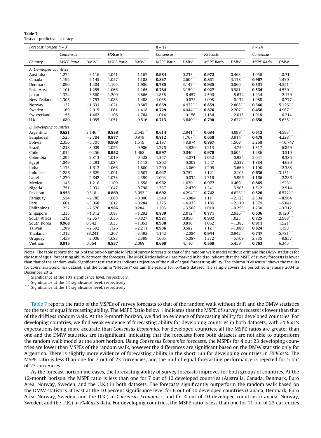<span id="page-14-0"></span>

| Table 7 |                               |  |
|---------|-------------------------------|--|
|         | Tests of predictive accuracy. |  |

| Forecast horizon $h = 3$       |                   |             |                   | $h = 12$             |                   |             |                   | $h = 24$    |                   |                      |
|--------------------------------|-------------------|-------------|-------------------|----------------------|-------------------|-------------|-------------------|-------------|-------------------|----------------------|
|                                | Consensus         |             | FX4casts          |                      | Consensus         |             | FX4casts          |             | Consensus         |                      |
| Country                        | <b>MSPE</b> Ratio | <b>DMW</b>  | <b>MSPE Ratio</b> | <b>DMW</b>           | <b>MSPE</b> Ratio | <b>DMW</b>  | <b>MSPE Ratio</b> | <b>DMW</b>  | <b>MSPE Ratio</b> | <b>DMW</b>           |
| A. Developed countries         |                   |             |                   |                      |                   |             |                   |             |                   |                      |
| Australia                      | 1.274             | $-3.116$    | 1.041             | $-1.167$             | 0.984             | 0.233       | 0.972             | 0.468       | 1.056             | $-0.714$             |
| Canada                         | 1.192             | $-2.145$    | 1.057             | $-1.188$             | 0.837             | $2.604$ *** | 0.831             | 3.138       | 0.907             | 1.430                |
| Denmark                        | 1.096             | $-1.204$    | 1.105             | $-1.986$             | 0.785             | $3.142$ *** | 0.935             | 0.866       | 0.531             | $4.551$ ***          |
| Euro Area                      | 1.101             | $-1.255$    | 1.066             | $-1.165$             | 0.784             | 3.159       | 0.927             | 0.981       | 0.534             | 4.530***             |
| Japan                          | 1.374             | $-3.560$    | 1.200             | $-3.866$             | 1.888             | $-6.457$    | 1.590             | $-5.672$    | 1.234             | $-2.139$             |
| New Zealand                    | 1.305             | $-2.753$    | 1.088             | $-1.488$             | 1.068             | $-0.673$    | 1.008             | $-0.132$    | 1.088             | $-0.777$             |
| Norway                         | 1.132             | $-1.631$    | 1.021             | $-0.687$             | 0.659             | 4.972***    | 0.859             | 2.808       | 0.566             | $5.126$ ***          |
| Sweden                         | 1.169             | $-2.015$    | 1.061             | $-1.418$             | 0.729             | 4.044***    | 0.876             | $2.207$ **  | 0.458             | 4.967***             |
| Switzerland                    | 1.155             | $-1.462$    | 1.106             | $-1.784$             | 1.014             | $-0.156$    | 1.154             | $-2.015$    | 1.018             | $-0.214$             |
| U.K.                           | 1.080             | $-1.055$    | 1.051             | $-0.816$             | 0.713             | 3.840**     | 0.790             | 2.622       | 0.650             | $5.635***$           |
| <b>B.</b> Developing countries |                   |             |                   |                      |                   |             |                   |             |                   |                      |
| Argentina                      | 0.621             | $3.146$ *** | 0.838             | $2.545***$           | 0.614             | 2.941       | 0.684             | 4.099***    | 0.512             | $4.593***$           |
| Bangladesh                     | 1.525             | $-3.784$    | 0.877             | 0.919                | 0.812             | $1.767$ **  | 0.658             | $3.914$ *** | 0.478             | 4.228                |
| <b>Bolivia</b>                 | 2.356             | $-5.701$    | 0.908             | $1.519$ <sup>*</sup> | 2.197             | $-8.874$    | 0.867             | 1.568       | 3.268             | $-10.747$            |
| <b>Brazil</b>                  | 1.218             | $-3.009$    | 1.055             | $-0.986$             | 1.276             | $-3.820$    | 1.213             | $-4.754$    | 1.817             | $-6.859$             |
| Chile                          | 1.014             | $-0.256$    | 0.952             | 1.468                | 0.997             | 0.040       | 0.970             | 0.604       | 1.286             | $-3.510$             |
| Colombia                       | 1.295             | $-2.813$    | 1.019             | $-0.428$             | 1.357             | $-3.071$    | 1.052             | $-0.954$    | 2.041             | $-9.386$             |
| Egypt                          | 1.849             | $-5.293$    | 1.084             | $-1.112$             | 1.802             | $-6.003$    | 1.547             | $-2.537$    | 1.884             | $-4.630$             |
| India                          | 1.173             | $-1.612$    | 1.066             | $-1.800$             | 1.200             | $-3.069$    | 1.205             | $-3.669$    | 1.190             | $-2.388$             |
| Indonesia                      | 1.286             | $-3.629$    | 1.091             | $-2.507$             | 0.947             | 0.752       | 1.121             | $-2.103$    | 0.636             | 3.151                |
| Israel                         | 1.270             | $-2.642$    | 1.078             | $-2.399$             | 1.003             | $-0.034$    | 1.316             | $-5.996$    | 1.166             | $-2.286$             |
| Mexico                         | 1.145             | $-1.218$    | 1.109             | $-1.558$             | 0.932             | 1.070       | 0.977             | 0.469       | 0.865             | $1.523*$             |
| Nigeria                        | 1.751             | $-2.931$    | 1.047             | $-0.798$             | 1.337             | $-2.479$    | 1.241             | $-3.905$    | 1.812             | $-2.914$             |
| Pakistan                       | 0.953             | 0.318       | 0.869             | 3.093                | 0.692             | $4.294$ **  | 0.742             | $4.623***$  | 0.520             | $6.572$ ***          |
| Paraguay                       | 1.534             | $-2.785$    | 1.000             | $-0.006$             | 1.549             | $-3.884$    | 1.111             | $-2.123$    | 2.304             | $-8.964$             |
| Peru                           | 1.601             | $-3.068$    | 1.012             | $-0.284$             | 1.375             | $-4.935$    | 1.186             | $-2.110$    | 1.579             | $-5.841$             |
| Philippines                    | 1.257             | $-2.576$    | 0.986             | 0.284                | 1.205             | $-3.508$    | 1.019             | $-0.255$    | 1.230             | $-3.712$             |
| Singapore                      | 1.235             | $-1.812$    | 1.087             | $-1.292$             | 0.839             | $2.012$ **  | 0.771             | 2.936       | 0.536             | $9.120$ ***          |
| South Africa                   | 1.212             | $-2.357$    | 1.036             | $-0.827$             | 0.921             | 0.850       | 0.932             | 1.025       | 0.725             | 2.988                |
| South Korea                    | 0.968             | 0.342       | 1.033             | $-1.053$             | 0.938             | 0.810       | 1.062             | $-1.383$    | 0.911             | $1.521$ <sup>*</sup> |
| Taiwan                         | 1.289             | $-2.592$    | 1.126             | $-2.211$             | 0.936             | 0.582       | 1.121             | $-1.080$    | 0.824             | 1.193                |
| Thailand                       | 1.312             | 83.241      | 1.267             | $-3.492$             | 1.142             | $-2.084$    | 0.944             | 0.942       | 0.747             | $5.781***$           |
| Uruguay                        | 1.459             | $-3.006$    | 1.087             | $-2.399$             | 1.605             | $-5.087$    | 1.372             | $-5.109$    | 2.735             | $-9.857$             |
| Vietnam                        | 0.915             | 0.564       | 0.837             | 2.068                | 0.668             | $4.110$ *** | 0.568             | 5.459***    | 0.763             | $6.345$ ***          |

Notes: The table reports the ratio of the out-of-sample MSPEs of survey forecasts to that of the random walk model without drift and the DMW statistics for the test of equal forecasting ability between the forecasts. The MSPE Ratios below 1 are marked in bold to indicate that the MSPE of survey forecasts is lower than that of the random walk. Significant test statistics indicates rejection of the null of equal forecasting ability. The column ''Consensus" shows the results for Consensus Economics dataset, and the column "FX4Casts" contain the results for FX4Casts dataset. The sample covers the period from January 2004 to December 2012.

Significance at the 10% significance level, respectively.

Significance at the 5% significance level, respectively.

Significance at the 1% significance level, respectively.

Table 7 reports the ratio of the MSPEs of survey forecasts to that of the random walk without drift and the DMW statistics for the test of equal forecasting ability. The MSPE Ratio below 1 indicates that the MSPE of survey forecasts is lower than that of the driftless random walk. At the 3-month horizon, we find no evidence of forecasting ability for developed countries. For developing countries, we find weak evidence of forecasting ability for developing countries in both datasets, with FX4Casts expectations being more accurate than Consensus Economics. For developed countries, all the MSPE ratios are greater than one and the DMW statistics are insignificant, indicating that the forecasts from both datasets are not able to outperform the random walk model at the short horizon. Using Consensus Economics forecasts, the MSPEs for 4 out 23 developing countries are lower than MSPEs of the random walk, however the differences are significant based on the DMW statistic only for Argentina. There is slightly more evidence of forecasting ability in the short-run for developing countries in FX4Casts. The MSPE ratio is less than one for 7 out of 23 currencies, and the null of equal forecasting performance is rejected for 5 out of 23 currencies.

As the forecast horizon increases, the forecasting ability of survey forecasts improves for both groups of countries. At the 12-month horizon, the MSPE ratio is less than one for 7 out of 10 developed countries (Australia, Canada, Denmark, Euro Area, Norway, Sweden, and the U.K.) in both datasets. The forecasts significantly outperform the random walk based on the DMW statistics at least at the 10 percent significance level for 6 out of 10 developed countries (Canada, Denmark, Euro Area, Norway, Sweden, and the U.K.) in Consensus Economics, and for 4 out of 10 developed countries (Canada, Norway, Sweden, and the U.K.) in FX4Casts data. For developing countries, the MSPE ratio is less than one for 11 out of 23 currencies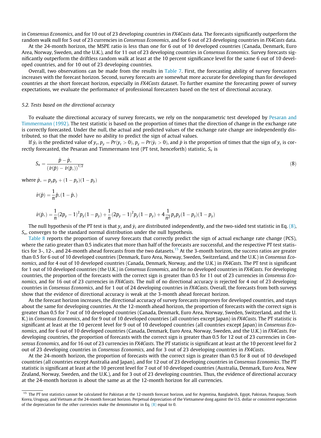in Consensus Economics, and for 10 out of 23 developing countries in FX4Casts data. The forecasts significantly outperform the random walk null for 5 out of 23 currencies in Consensus Economics, and for 6 out of 23 developing countries in FX4Casts data.

At the 24-month horizon, the MSPE ratio is less than one for 6 out of 10 developed countries (Canada, Denmark, Euro Area, Norway, Sweden, and the U.K.), and for 11 out of 23 developing countries in Consensus Economics. Survey forecasts significantly outperform the driftless random walk at least at the 10 percent significance level for the same 6 out of 10 developed countries, and for 10 out of 23 developing countries.

Overall, two observations can be made from the results in [Table 7](#page-14-0). First, the forecasting ability of survey forecasters increases with the forecast horizon. Second, survey forecasts are somewhat more accurate for developing than for developed countries at the short forecast horizon, especially in FX4Casts dataset. To further examine the forecasting power of survey expectations, we evaluate the performance of professional forecasters based on the test of directional accuracy.

#### 5.2. Tests based on the directional accuracy

To evaluate the directional accuracy of survey forecasts, we rely on the nonparametric test developed by [Pesaran and](#page-21-0) [Timmermann \(1992\).](#page-21-0) The test statistic is based on the proportion of times that the direction of change in the exchange rate is correctly forecasted. Under the null, the actual and predicted values of the exchange rate change are independently distributed, so that the model have no ability to predict the sign of actual values.

If  $\hat{y}_t$  is the predicted value of  $y_t$ ,  $p_y = Pr(y_t > 0)$ ,  $p_y = Pr(\hat{y}_t > 0)$ , and  $\hat{p}$  is the proportion of times that the sign of  $y_t$  is correctly forecasted, the Pesaran and Timmermann test (PT test, henceforth) statistic,  $S_n$  is

$$
S_n = \frac{\hat{p} - \hat{p}_*}{(\hat{\nu}(\hat{p}) - \hat{\nu}(\hat{p}_*))^{1/2}}
$$
(8)

where  $\hat{p}_* = p_y p_{\hat{y}} + (1 - p_y)(1 - p_{\hat{y}})$ 

$$
\hat{v}(\hat{p}) = \frac{1}{n}\hat{p}_*(1-\hat{p}_*)
$$

$$
\hat{\text{\it v}}(\hat{p}_*)=\frac{1}{n}(2p_y-1)^2p_{\hat{y}}(1-p_{\hat{y}})+\frac{1}{n}(2p_{\hat{y}}-1)^2p_{y}(1-p_{y})+4\frac{1}{n^2}p_{y}p_{\hat{y}}(1-p_{\hat{y}})(1-p_{y})
$$

The null hypothesis of the PT test is that  $y_t$  and  $\hat{y}_t$  are distributed independently, and the two-sided test statistic in Eq. (8),  $S_n$ , converges to the standard normal distribution under the null hypothesis.

[Table 8](#page-16-0) reports the proportion of survey forecasts that correctly predict the sign of actual exchange rate change (PCS), where the ratio greater than 0.5 indicates that more than half of the forecasts are successful, and the respective PT test statistics for 3-, 12-, and 24-month ahead forecasts from the two datasets.<sup>15</sup> At the 3-month horizon, the success ratios are greater than 0.5 for 6 out of 10 developed countries (Denmark, Euro Area, Norway, Sweden, Switzerland, and the U.K.) in Consensus Economics, and for 4 out of 10 developed countries (Canada, Denmark, Norway, and the U.K.) in FX4Casts. The PT test is significant for 1 out of 10 developed countries (the U.K.) in Consensus Economics, and for no developed countries in FX4Casts. For developing countries, the proportion of the forecasts with the correct sign is greater than 0.5 for 11 out of 23 currencies in Consensus Economics, and for 16 out of 23 currencies in FX4Casts. The null of no directional accuracy is rejected for 4 out of 23 developing countries in Consensus Economics, and for 1 out of 24 developing countries in FX4Casts. Overall, the forecasts from both surveys show that the evidence of directional accuracy is weak at the 3-month ahead forecast horizon.

As the forecast horizon increases, the directional accuracy of survey forecasts improves for developed countries, and stays about the same for developing countries. At the 12-month ahead horizon, the proportion of forecasts with the correct sign is greater than 0.5 for 7 out of 10 developed countries (Canada, Denmark, Euro Area, Norway, Sweden, Switzerland, and the U. K.) in Consensus Economics, and for 9 out of 10 developed countries (all countries except Japan) in FX4Casts. The PT statistic is significant at least at the 10 percent level for 9 out of 10 developed countries (all countries except Japan) in Consensus Economics, and for 6 out of 10 developed countries (Canada, Denmark, Euro Area, Norway, Sweden, and the U.K.) in FX4Casts. For developing countries, the proportion of forecasts with the correct sign is greater than 0.5 for 12 out of 23 currencies in Consensus Economics, and for 16 out of 23 currencies in FX4Casts. The PT statistic is significant at least at the 10 percent level for 2 out of 23 developing countries in Consensus Economics, and for 3 out of 23 developing countries in FX4Casts.

At the 24-month horizon, the proportion of forecasts with the correct sign is greater than 0.5 for 8 out of 10 developed countries (all countries except Australia and Japan), and for 12 out of 23 developing countries in Consensus Economics. The PT statistic is significant at least at the 10 percent level for 7 out of 10 developed countries (Australia, Denmark, Euro Area, New Zealand, Norway, Sweden, and the U.K.), and for 3 out of 23 developing countries. Thus, the evidence of directional accuracy at the 24-month horizon is about the same as at the 12-month horizon for all currencies.

<sup>&</sup>lt;sup>15</sup> The PT test statistics cannot be calculated for Pakistan at the 12-month forecast horizon, and for Argentina, Bangladesh, Egypt, Pakistan, Paraguay, South Korea, Uruguay, and Vietnam at the 24-month forecast horizon. Perpetual depreciation of the Vietnamese dong against the U.S. dollar or consistent expectation of the depreciation for the other currencies make the denominator in Eq.  $(8)$  equal to 0.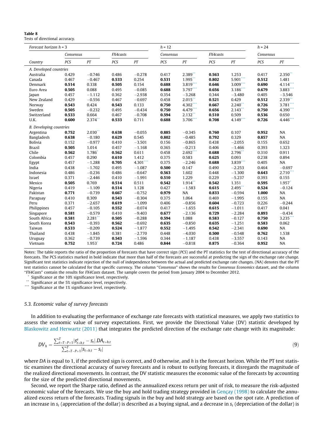| Forecast horizon $h = 3$       |           |            |          | $h = 12$ |       |                      | $h = 24$ |                      |           |                       |
|--------------------------------|-----------|------------|----------|----------|-------|----------------------|----------|----------------------|-----------|-----------------------|
|                                | Consensus |            | FX4casts |          |       | Consensus            |          |                      | Consensus |                       |
| Country                        | PCS       | PT         | PCS      | PT       | PCS   | PT                   | PCS      | PT                   | PCS       | PT                    |
| A. Developed countries         |           |            |          |          |       |                      |          |                      |           |                       |
| Australia                      | 0.429     | $-0.746$   | 0.486    | $-0.278$ | 0.417 | 2.389                | 0.563    | 1.253                | 0.417     | $2.350$ **            |
| Canada                         | 0.467     | $-0.467$   | 0.533    | 0.254    | 0.531 | $1.995$ **           | 0.802    | 5.901***             | 0.512     | 1.481                 |
| Denmark                        | 0.514     | 0.338      | 0.505    | 0.154    | 0.688 | $3.819***$           | 0.646    | 3.009                | 0.690     | 4.114***              |
| Euro Area                      | 0.505     | 0.088      | 0.495    | $-0.085$ | 0.688 | 3.797***             | 0.656    | 3.186                | 0.679     | 3.883***              |
| Japan                          | 0.457     | $-1.112$   | 0.362    | $-2.938$ | 0.354 | $-3.268$             | 0.344    | $-3.480$             | 0.405     | $-3.546$              |
| New Zealand                    | 0.429     | $-0.556$   | 0.467    | $-0.697$ | 0.458 | $2.015$ <sup>*</sup> | 0.521    | 0.429                | 0.512     | 2.339                 |
| Norway                         | 0.543     | 0.424      | 0.543    | 0.133    | 0.750 | 4.302***             | 0.667    | $2.240^{\degree}$    | 0.726     | 3.781                 |
| Sweden                         | 0.505     | $-0.232$   | 0.495    | $-0.434$ | 0.750 | 4.479***             | 0.656    | $2.143$ <sup>*</sup> | 0.750     | 4.390**               |
| Switzerland                    | 0.533     | 0.664      | 0.467    | $-0.708$ | 0.594 | $2.132$ **           | 0.510    | 0.509                | 0.536     | 0.650                 |
| U.K.                           | 0.600     | $2.374$ ** | 0.533    | 0.711    | 0.688 | 3.706***             | 0.708    | 4.149***             | 0.726     | 4.446***              |
| <b>B.</b> Developing countries |           |            |          |          |       |                      |          |                      |           |                       |
| Argentina                      | 0.752     | $2.030**$  | 0.638    | $-0.055$ | 0.885 | $-0.345$             | 0.760    | 0.107                | 0.952     | NA                    |
| Bangladesh                     | 0.638     | $-0.180$   | 0.629    | 0.545    | 0.802 | $-0.485$             | 0.792    | 0.329                | 0.857     | NA                    |
| <b>Bolivia</b>                 | 0.152     | $-0.977$   | 0.410    | $-3.501$ | 0.156 | $-0.865$             | 0.438    | $-2.055$             | 0.155     | 0.652                 |
| <b>Brazil</b>                  | 0.505     | 1.014      | 0.457    | $-1.168$ | 0.365 | $-0.213$             | 0.406    | $-1.466$             | 0.393     | 1.323                 |
| Chile                          | 0.562     | 1.786      | 0.562    | 0.611    | 0.458 | $2.692$ ***          | 0.688    | 2.796                | 0.310     | 0.911                 |
| Colombia                       | 0.457     | 0.290      | 0.610    | 1.412    | 0.375 | 0.583                | 0.625    | 0.093                | 0.238     | 0.894                 |
| Egypt                          | 0.457     | $-1.288$   | 0.705    | 4.301*** | 0.375 | $-2.246$             | 0.688    | 3.839***             | 0.405     | NA                    |
| India                          | 0.438     | $-1.702$   | 0.495    | $-1.087$ | 0.500 | 0.147                | 0.490    | $-2.253$             | 0.464     | $-0.697$              |
| Indonesia                      | 0.486     | $-0.236$   | 0.486    | $-0.647$ | 0.563 | 1.602                | 0.448    | $-1.300$             | 0.643     | $2.710$ <sup>**</sup> |
| Israel                         | 0.371     | $-2.446$   | 0.410    | $-1.991$ | 0.510 | 1.229                | 0.229    | $-5.237$             | 0.393     | 0.155                 |
| Mexico                         | 0.505     | 0.769      | 0.514    | 0.511    | 0.542 | $1.914$ **           | 0.542    | 1.351                | 0.595     | $1.957$ <sup>*</sup>  |
| Nigeria                        | 0.419     | $-1.109$   | 0.514    | 1.128    | 0.427 | $-1.583$             | 0.615    | 2.495**              | 0.524     | $-0.124$              |
| Pakistan                       | 0.771     | $-0.739$   | 0.667    | $-0.752$ | 0.979 | NA                   | 0.833    | $-0.594$             | 1.000     | NA                    |
| Paraguay                       | 0.410     | 0.309      | 0.543    | $-0.304$ | 0.375 | 1.064                | 0.469    | $-1.995$             | 0.155     | NA                    |
| Peru                           | 0.371     | $-2.657$   | 0.619    | $-1.099$ | 0.406 | $-0.856$             | 0.604    | $-0.723$             | 0.226     | $-0.244$              |
| Philippines                    | 0.457     | $-0.105$   | 0.552    | $-0.074$ | 0.417 | $-1.655$             | 0.615    | $-1.011$             | 0.417     | 0.041                 |
| Singapore                      | 0.581     | $-0.579$   | 0.410    | $-9.403$ | 0.677 | $-2.136$             | 0.729    | $-2.284$             | 0.893     | $-0.434$              |
| South Africa                   | 0.581     | $2.281$ ** | 0.505    | $-0.288$ | 0.594 | 1.088                | 0.583    | $-0.127$             | 0.750     | 3.235                 |
| South Korea                    | 0.543     | $-0.393$   | 0.562    | $-0.692$ | 0.635 | $-0.850$             | 0.635    | $-1.251$             | 0.583     | 0.062                 |
| Taiwan                         | 0.533     | $-0.209$   | 0.524    | $-1.877$ | 0.552 | $-1.495$             | 0.542    | $-2.341$             | 0.690     | <b>NA</b>             |
| Thailand                       | 0.438     | $-1.845$   | 0.381    | $-2.770$ | 0.448 | $-4.030$             | 0.500    | $-0.548$             | 0.762     | 1.538                 |
| Uruguay                        | 0.362     | $-0.739$   | 0.543    | $-1.596$ | 0.344 | $-1.187$             | 0.438    | $-3.557$             | 0.143     | NA                    |
| Vietnam                        | 0.752     | 1.953      | 0.724    | 0.486    | 0.844 | $-0.818$             | 0.875    | $-0.364$             | 0.952     | NA                    |

Notes: The table reports the ratio of the proportion of forecasts that have correct sign (PCS) and the PT statistics for the test of directional accuracy of the forecasts. The PCS statistics marked in bold indicate that more than half of the forecasts are successful at predicting the sign of the exchange rate change. Significant test statistics indicate rejection of the null of independence between the actual and predicted exchange rate changes. (NA) denotes that the PT test statistics cannot be calculated for that specific currency. The column "Consensus" shows the results for Consensus Economics dataset, and the column ''FX4Casts" contain the results for FX4Casts dataset. The sample covers the period from January 2004 to December 2012.

 $*$  Significance at the 10% significance level, respectively.

Significance at the 5% significance level, respectively.

Significance at the 1% significance level, respectively.

#### 5.3. Economic value of survey forecasts

In addition to evaluating the performance of exchange rate forecasts with statistical measures, we apply two statistics to assess the economic value of survey expectations. First, we provide the Directional Value (DV) statistic developed by [Blaskowitz and Herwartz \(2011\)](#page-20-0) that integrates the predicted direction of the exchange rate change with its magnitude:

$$
DV_h = \frac{\sum_{t=T-P+1}^{T} |s_{t+h,t}^e - s_t|.DA_{t+h,t}}{\sum_{t=T-P+1}^{T} |s_{t+h,t} - s_t|} \tag{9}
$$

where DA is equal to 1, if the predicted sign is correct, and 0 otherwise, and  $h$  is the forecast horizon. While the PT test statistic examines the directional accuracy of survey forecasts and is robust to outlying forecasts, it disregards the magnitude of the realized directional movements. In contrast, the DV statistic measures the economic value of the forecasts by accounting for the size of the predicted directional movements.

Second, we report the Sharpe ratio, defined as the annualized excess return per unit of risk, to measure the risk-adjusted economic value of the forecasts. We use the buy and hold trading strategy provided in [Gençay \(1998\)](#page-21-0) to calculate the annualized excess return of the forecasts. Trading signals in the buy and hold strategy are based on the spot rate. A prediction of an increase in  $s_t$  (appreciation of the dollar) is described as a buying signal, and a decrease in  $s_t$  (depreciation of the dollar) is

#### <span id="page-16-0"></span>Table 8

Tests of directional accuracy.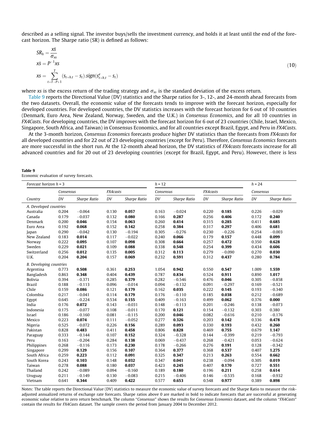described as a selling signal. The investor buys/sells the investment currency, and holds it at least until the end of the forecast horizon. The Sharpe ratio (SR) is defined as follows:

$$
SR_h = \frac{x\overline{s}}{\sigma_{xs}}
$$
  
\n
$$
x\overline{s} = P^{-1}xs
$$
  
\n
$$
xs = \sum_{t=T-P+1}^{T} (s_{t+h,t} - s_t) \cdot sign(s_{t+h,t}^e - s_t)
$$
\n(10)

where xs is the excess return of the trading strategy and  $\sigma_{\rm xs}$  is the standard deviation of the excess return.

Table 9 reports the Directional Value (DV) statistics and the Sharpe ratios for 3-, 12-, and 24-month ahead forecasts from the two datasets. Overall, the economic value of the forecasts tends to improve with the forecast horizon, especially for developed countries. For developed countries, the DV statistics increases with the forecast horizon for 6 out of 10 countries (Denmark, Euro Area, New Zealand, Norway, Sweden, and the U.K.) in Consensus Economics, and for all 10 countries in FX4Casts. For developing countries, the DV improves with the forecast horizon for 6 out of 23 countries (Chile, Israel, Mexico, Singapore, South Africa, and Taiwan) in Consensus Economics, and for all countries except Brazil, Egypt, and Peru in FX4Casts.

At the 3-month horizon, Consensus Economics forecasts produce higher DV statistics than the forecasts from FX4casts for all developed countries and for 22 out of 23 developing countries (except for Peru). Therefore, Consensus Economics forecasts are more successful in the short run. At the 12-month ahead horizon, the DV statistics of FX4casts forecasts increase for all advanced countries and for 20 out of 23 developing countries (except for Brazil, Egypt, and Peru). However, there is less

| Table 9 |  |  |
|---------|--|--|
|         |  |  |

Economic evaluation of survey forecasts.

 $\overline{v}$ 

| Forecast horizon $h = 3$       |           |              | $h = 12$ |              |           |              | $h = 24$ |              |           |              |
|--------------------------------|-----------|--------------|----------|--------------|-----------|--------------|----------|--------------|-----------|--------------|
|                                | Consensus |              | FX4casts |              | Consensus |              | FX4casts |              | Consensus |              |
| Country                        | DV        | Sharpe Ratio | DV       | Sharpe Ratio | DV        | Sharpe Ratio | DV       | Sharpe Ratio | DV        | Sharpe Ratio |
| A. Developed countries         |           |              |          |              |           |              |          |              |           |              |
| Australia                      | 0.204     | $-0.064$     | 0.130    | 0.057        | 0.163     | $-0.024$     | 0.220    | 0.185        | 0.226     | $-0.029$     |
| Canada                         | 0.179     | $-0.037$     | 0.132    | 0.080        | 0.166     | 0.287        | 0.256    | 0.406        | 0.172     | 0.240        |
| Denmark                        | 0.200     | 0.046        | 0.154    | 0.063        | 0.260     | 0.414        | 0.315    | 0.285        | 0.411     | 0.685        |
| Euro Area                      | 0.192     | 0.068        | 0.152    | 0.142        | 0.258     | 0.384        | 0.317    | 0.297        | 0.406     | 0.681        |
| Japan                          | 0.290     | $-0.042$     | 0.130    | $-0.194$     | 0.305     | $-0.276$     | 0.230    | $-0.226$     | 0.254     | $-0.003$     |
| New Zealand                    | 0.183     | 0.014        | 0.117    | $-0.022$     | 0.240     | 0.066        | 0.179    | 0.157        | 0.448     | 0.099        |
| Norway                         | 0.222     | 0.095        | 0.107    | 0.098        | 0.308     | 0.664        | 0.257    | 0.472        | 0.350     | 0.628        |
| Sweden                         | 0.229     | 0.021        | 0.109    | 0.088        | 0.338     | 0.548        | 0.254    | 0.399        | 0.434     | 0.606        |
| Switzerland                    | 0.256     | 0.012        | 0.135    | 0.005        | 0.312     | 0.113        | 0.279    | $-0.090$     | 0.270     | 0.030        |
| U.K.                           | 0.204     | 0.204        | 0.157    | 0.069        | 0.232     | 0.591        | 0.312    | 0.437        | 0.280     | 0.784        |
| <b>B.</b> Developing countries |           |              |          |              |           |              |          |              |           |              |
| Argentina                      | 0.773     | 0.508        | 0.361    | 0.253        | 1.054     | 0.942        | 0.550    | 0.547        | 1.009     | 1.559        |
| Bangladesh                     | 0.863     | 0.348        | 0.404    | 0.439        | 0.787     | 0.834        | 0.524    | 0.911        | 0.890     | 1.017        |
| <b>Bolivia</b>                 | 0.394     | $-0.371$     | 0.285    | 0.379        | 0.282     | $-0.546$     | 0.476    | 0.046        | 0.305     | $-0.858$     |
| <b>Brazil</b>                  | 0.188     | $-0.113$     | 0.096    | $-0.014$     | 0.094     | $-0.132$     | 0.091    | $-0.297$     | 0.169     | $-0.521$     |
| Chile                          | 0.159     | 0.086        | 0.121    | 0.179        | 0.162     | 0.035        | 0.222    | 0.145        | 0.193     | $-0.340$     |
| Colombia                       | 0.217     | $-0.041$     | 0.114    | 0.179        | 0.176     | $-0.110$     | 0.185    | 0.038        | 0.212     | $-0.689$     |
| Egypt                          | 0.645     | $-0.224$     | 0.534    | 0.155        | 0.409     | $-0.163$     | 0.499    | 0.062        | 0.376     | 0.000        |
| India                          | 0.176     | 0.072        | 0.143    | $-0.031$     | 0.148     | $-0.113$     | 0.201    | $-0.246$     | 0.138     | $-0.073$     |
| Indonesia                      | 0.175     | $-0.077$     | 0.108    | $-0.011$     | 0.170     | 0.121        | 0.154    | $-0.132$     | 0.303     | 0.380        |
| Israel                         | 0.186     | $-0.160$     | 0.081    | $-0.115$     | 0.200     | 0.046        | 0.082    | $-0.616$     | 0.210     | $-0.176$     |
| Mexico                         | 0.223     | 0.074        | 0.111    | $-0.052$     | 0.277     | 0.326        | 0.203    | 0.142        | 0.336     | 0.478        |
| Nigeria                        | 0.525     | $-0.072$     | 0.226    | 0.156        | 0.289     | 0.093        | 0.330    | 0.193        | 0.432     | 0.260        |
| Pakistan                       | 0.828     | 0.483        | 0.411    | 0.458        | 0.806     | 0.828        | 0.469    | 0.755        | 0.679     | 1.147        |
| Paraguay                       | 0.333     | $-0.144$     | 0.107    | 0.152        | 0.324     | $-0.328$     | 0.144    | $-0.399$     | 0.219     | $-0.793$     |
| Peru                           | 0.163     | $-0.204$     | 0.284    | 0.138        | 0.069     | $-0.437$     | 0.268    | $-0.421$     | 0.053     | $-0.624$     |
| Philippines                    | 0.268     | $-0.116$     | 0.173    | 0.230        | 0.178     | $-0.266$     | 0.276    | 0.191        | 0.128     | $-0.342$     |
| Singapore                      | 0.299     | 0.129        | 0.156    | 0.107        | 0.364     | 0.377        | 0.368    | 0.537        | 0.407     | 1.275        |
| South Africa                   | 0.259     | 0.223        | 0.112    | 0.091        | 0.325     | 0.347        | 0.213    | 0.263        | 0.554     | 0.662        |
| South Korea                    | 0.243     | 0.103        | 0.148    | 0.032        | 0.347     | 0.041        | 0.238    | $-0.094$     | 0.305     | 0.019        |
| Taiwan                         | 0.278     | 0.088        | 0.180    | 0.037        | 0.423     | 0.245        | 0.407    | 0.170        | 0.727     | 0.551        |
| Thailand                       | 0.242     | $-0.089$     | 0.094    | $-0.160$     | 0.189     | 0.180        | 0.196    | 0.211        | 0.258     | 0.614        |
| Uruguay                        | 0.211     | $-0.149$     | 0.130    | $-0.083$     | 0.215     | $-0.406$     | 0.146    | $-0.535$     | 0.168     | $-0.932$     |
| Vietnam                        | 0.641     | 0.344        | 0.409    | 0.422        | 0.577     | 0.653        | 0.548    | 0.977        | 0.389     | 0.898        |

Notes: The table reports the Directional Value (DV) statistics to measure the economic value of survey forecasts and the Sharpe Ratio to measure the riskadjusted annualized returns of exchange rate forecasts. Sharpe ratios above 0 are marked in bold to indicate forecasts that are successful at generating economic value relative to zero return benchmark. The column "Consensus" shows the results for Consensus Economics dataset, and the column "FX4Casts" contain the results for FX4Casts dataset. The sample covers the period from January 2004 to December 2012.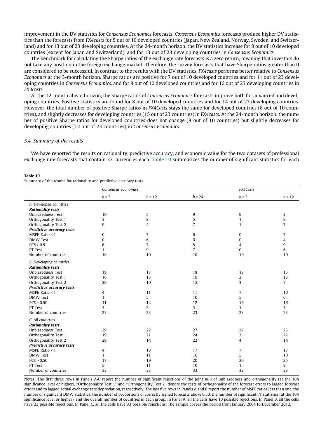improvement in the DV statistics for Consensus Economics forecasts. Consensus Economics forecasts produce higher DV statistics than the forecasts from FX4casts for 5 out of 10 developed countries (Japan, New Zealand, Norway, Sweden, and Switzerland) and for 13 out of 23 developing countries. At the 24-month horizon, the DV statistics increase for 8 out of 10 developed countries (except for Japan and Switzerland), and for 13 out of 23 developing countries in Consensus Economics.

The benchmark for calculating the Sharpe ratios of the exchange rate forecasts is a zero return, meaning that investors do not take any position in the foreign exchange market. Therefore, the survey forecasts that have Sharpe ratios greater than 0 are considered to be successful. In contrast to the results with the DV statistics, FX4casts performs better relative to Consensus Economics at the 3-month horizon. Sharpe ratios are positive for 7 out of 10 developed countries and for 11 out of 23 developing countries in Consensus Economics, and for 8 out of 10 developed countries and for 16 out of 23 developing countries in FX4casts.

At the 12-month ahead horizon, the Sharpe ratios of Consensus Economics forecasts improve both for advanced and developing countries. Positive statistics are found for 8 out of 10 developed countries and for 14 out of 23 developing countries. However, the total number of positive Sharpe ratios in FX4Casts stays the same for developed countries (8 out of 10 countries), and slightly decreases for developing countries (15 out of 23 countries) in FX4casts. At the 24-month horizon, the number of positive Sharpe ratios for developed countries does not change (8 out of 10 countries) but slightly decreases for developing countries (12 out of 23 countries) in Consensus Economics.

#### 5.4. Summary of the results

We have reported the results on rationality, predictive accuracy, and economic value for the two datasets of professional exchange rate forecasts that contain 33 currencies each. Table 10 summarizes the number of significant statistics for each

#### Table 10

Summary of the results for rationality and predictive accuracy tests.

|                                | Consensus economics |                |                | FX4Casts       |                |
|--------------------------------|---------------------|----------------|----------------|----------------|----------------|
|                                | $h = 3$             | $h = 12$       | $h = 24$       | $h = 3$        | $h = 12$       |
| A. Developed countries         |                     |                |                |                |                |
| <b>Rationality tests</b>       |                     |                |                |                |                |
| <b>Unbiasedness Test</b>       | 10                  | 5              | 9              | 9              | 3              |
| Orthogonality Test 1           | 3                   | 8              | 5              | $\mathbf{1}$   | 9              |
| Orthogonality Test 2           | 9                   | 4              | $\overline{7}$ | 1              | $\overline{7}$ |
| Predictive accuracy tests      |                     |                |                |                |                |
| MSPE Ratio < 1                 | 0                   | $\overline{7}$ | 6              | 0              | 7              |
| <b>DMW</b> Test                | $\bf{0}$            | 6              | 6              | 0              | $\overline{4}$ |
| PCS > 0.5                      | 6                   | $\overline{7}$ | 8              | 4              | 9              |
| PT Test                        | $\mathbf{1}$        | 9              | $\overline{7}$ | 0              | 6              |
| Number of countries            | 10                  | 10             | 10             | 10             | 10             |
| <b>B.</b> Developing countries |                     |                |                |                |                |
| <b>Rationality tests</b>       |                     |                |                |                |                |
| Unbiasedness Test              | 19                  | 17             | 18             | 18             | 15             |
| Orthogonality Test 1           | 16                  | 13             | 19             | 2              | 13             |
| Orthogonality Test 2           | 20                  | 10             | 15             | 3              | $\overline{7}$ |
| Predictive accuracy tests      |                     |                |                |                |                |
| MSPE Ratio < 1                 | 4                   | 11             | 11             | 7              | 10             |
| <b>DMW</b> Test                | $\mathbf{1}$        | 5              | 10             | 5              | 6              |
| PCS > 0.50                     | 11                  | 12             | 12             | 16             | 16             |
| PT Test                        | 4                   | $\overline{2}$ | 3              | $\mathbf{1}$   | 3              |
| Number of countries            | 23                  | 23             | 23             | 23             | 23             |
| C. All countries               |                     |                |                |                |                |
| <b>Rationality tests</b>       |                     |                |                |                |                |
| Unbiasedness Test              | 29                  | 22             | 27             | 27             | 25             |
| Orthogonality Test 1           | 19                  | 21             | 24             | 3              | 22             |
| Orthogonality Test 2           | 29                  | 14             | 22             | $\overline{4}$ | 14             |
| Predictive accuracy tests      |                     |                |                |                |                |
| MSPE Ratio $< 1$               | 4                   | 18             | 17             | 7              | 17             |
| <b>DMW Test</b>                | $\mathbf{1}$        | 11             | 16             | 5              | 10             |
| PCS > 0.50                     | 17                  | 19             | 20             | 20             | 25             |
| PT Test                        | 5                   | 11             | 10             | $\mathbf{1}$   | 9              |
| Number of countries            | 33                  | 33             | 33             | 33             | 33             |
|                                |                     |                |                |                |                |

Notes: The first three rows in Panels A-C report the number of significant rejections of the joint null of unbiasedness and orthogonality (at the 10% significance level or higher). "Orthogonality Test 1" and "Orthogonality Test 2" denote the tests of orthogonality of the forecast errors to lagged forecast errors and to lagged actual exchange rate depreciation, respectively. The last five rows in Panels A and B report the number of MSPE ratios less than one, the number of significant DMW statistics, the number of proportions of correctly signed forecasts above 0.50, the number of significant PT statistics (at the 10% significance level or higher), and the overall number of countries in each group. In Panel A, all the cells have 10 possible rejections. In Panel B, all the cells have 23 possible rejections. In Panel C, all the cells have 33 possible rejections. The sample covers the period from January 2004 to December 2012.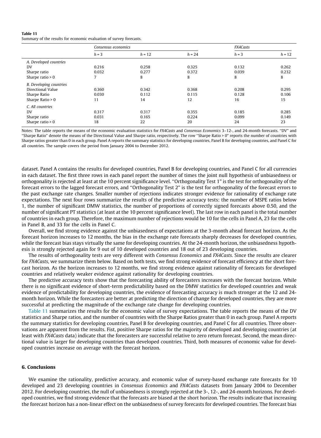#### Table 11

Summary of the results for economic evaluation of survey forecasts.

|                                                                                           | Consensus economics  |                      |                      | FX4Casts             |                      |  |
|-------------------------------------------------------------------------------------------|----------------------|----------------------|----------------------|----------------------|----------------------|--|
|                                                                                           | $h = 3$              | $h = 12$             | $h = 24$             | $h = 3$              | $h = 12$             |  |
| A. Developed countries<br>DV<br>Sharpe ratio<br>Sharpe ratio $> 0$                        | 0.216<br>0.032       | 0.258<br>0.277<br>8  | 0.325<br>0.372<br>8  | 0.132<br>0.039<br>8  | 0.262<br>0.232<br>8  |  |
| <b>B.</b> Developing countries<br>Directional Value<br>Sharpe Ratio<br>Sharpe Ratio $> 0$ | 0.360<br>0.030<br>11 | 0.342<br>0.112<br>14 | 0.368<br>0.115<br>12 | 0.208<br>0.128<br>16 | 0.295<br>0.106<br>15 |  |
| C. All countries<br>DV<br>Sharpe ratio<br>Sharpe ratio $> 0$                              | 0.317<br>0.031<br>18 | 0.317<br>0.165<br>22 | 0.355<br>0.224<br>20 | 0.185<br>0.099<br>24 | 0.285<br>0.149<br>23 |  |

Notes: The table reports the means of the economic evaluation statistics for FX4Casts and Consensus Economics 3-12-, and 24-month forecasts. "DV" and ''Sharpe Ratio" denote the means of the Directional Value and Sharpe ratio, respectively. The row ''Sharpe Ratio > 0" reports the number of countries with Sharpe ratios greater than 0 in each group. Panel A reports the summary statistics for developing countries, Panel B for developing countries, and Panel C for all countries. The sample covers the period from January 2004 to December 2012.

dataset. Panel A contains the results for developed countries, Panel B for developing countries, and Panel C for all currencies in each dataset. The first three rows in each panel report the number of times the joint null hypothesis of unbiasedness or orthogonality is rejected at least at the 10 percent significance level. ''Orthogonality Test 1" is the test for orthogonality of the forecast errors to the lagged forecast errors, and ''Orthogonality Test 2" is the test for orthogonality of the forecast errors to the past exchange rate changes. Smaller number of rejections indicates stronger evidence for rationality of exchange rate expectations. The next four rows summarize the results of the predictive accuracy tests: the number of MSPE ratios below 1, the number of significant DMW statistics, the number of proportions of correctly signed forecasts above 0.50, and the number of significant PT statistics (at least at the 10 percent significance level). The last row in each panel is the total number of countries in each group. Therefore, the maximum number of rejections would be 10 for the cells in Panel A, 23 for the cells in Panel B, and 33 for the cells in Panel C.

Overall, we find strong evidence against the unbiasedness of expectations at the 3-month ahead forecast horizon. As the forecast horizon increases to 12 months, the bias in the exchange rate forecasts sharply decreases for developed countries, while the forecast bias stays virtually the same for developing countries. At the 24-month horizon, the unbiasedness hypothesis is strongly rejected again for 9 out of 10 developed countries and 18 out of 23 developing countries.

The results of orthogonality tests are very different with Consensus Economics and FX4Casts. Since the results are clearer for FX4Casts, we summarize them below. Based on both tests, we find strong evidence of forecast efficiency at the short forecast horizon. As the horizon increases to 12 months, we find strong evidence against rationality of forecasts for developed countries and relatively weaker evidence against rationality for developing countries.

The predictive accuracy tests show that the forecasting ability of forecasters increases with the forecast horizon. While there is no significant evidence of short-term predictability based on the DMW statistics for developed countries and weak evidence of predictability for developing countries, the evidence of forecasting accuracy is much stronger at the 12 and 24 month horizon. While the forecasters are better at predicting the direction of change for developed countries, they are more successful at predicting the magnitude of the exchange rate change for developing countries.

Table 11 summarizes the results for the economic value of survey expectations. The table reports the means of the DV statistics and Sharpe ratios, and the number of countries with the Sharpe Ratios greater than 0 in each group. Panel A reports the summary statistics for developing countries, Panel B for developing countries, and Panel C for all countries. Three observations are apparent from the results. Fist, positive Sharpe ratios for the majority of developed and developing countries (at least with FX4Casts data) indicate that the forecasters are successful relative to zero return forecast. Second, the mean directional value is larger for developing countries than developed countries. Third, both measures of economic value for developed countries increase on average with the forecast horizon.

#### 6. Conclusions

We examine the rationality, predictive accuracy, and economic value of survey-based exchange rate forecasts for 10 developed and 23 developing countries in Consensus Economics and FX4Casts datasets from January 2004 to December 2012. For developing countries, the null of unbiasedness is strongly rejected at the 3-, 12-, and 24-month horizons. For developed countries, we find strong evidence that the forecasts are biased at the short horizon. The results indicate that increasing the forecast horizon has a non-linear effect on the unbiasedness of survey forecasts for developed countries. The forecast bias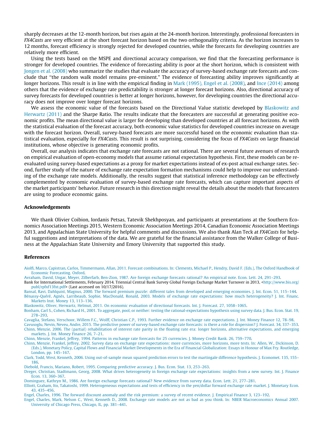<span id="page-20-0"></span>sharply decreases at the 12-month horizon, but rises again at the 24-month horizon. Interestingly, professional forecasters in FX4Casts are very efficient at the short forecast horizon based on the two orthogonality criteria. As the horizon increases to 12 months, forecast efficiency is strongly rejected for developed countries, while the forecasts for developing countries are relatively more efficient.

Using the tests based on the MSPE and directional accuracy comparison, we find that the forecasting performance is stronger for developed countries. The evidence of forecasting ability is poor at the short horizon, which is consistent with [Jongen et al. \(2008\)](#page-21-0) who summarize the studies that evaluate the accuracy of survey-based exchange rate forecasts and conclude that ''the random walk model remains pre-eminent." The evidence of forecasting ability improves significantly at longer horizons. This result is in line with the empirical finding in [Mark \(1995\), Engel et al. \(2008\),](#page-21-0) and [Ince \(2014\)](#page-21-0) among others that the evidence of exchange rate predictability is stronger at longer forecast horizons. Also, directional accuracy of survey forecasts for developed countries is better at longer horizons, however, for developing countries the directional accuracy does not improve over longer forecast horizons.

We assess the economic value of the forecasts based on the Directional Value statistic developed by Blaskowitz and Herwartz (2011) and the Sharpe Ratio. The results indicate that the forecasters are successful at generating positive economic profits. The mean directional value is larger for developing than developed countries at all forecast horizons. As with the statistical evaluation of the forecast accuracy, both economic value statistics for developed countries increase on average with the forecast horizon. Overall, survey-based forecasts are more successful based on the economic evaluation than statistical evaluation, especially for FX4Casts. This result is not surprising, considering the focus of FX4Casts on large financial institutions, whose objective is generating economic profits.

Overall, our analysis indicates that exchange rate forecasts are not rational. There are several future avenues of research on empirical evaluation of open-economy models that assume rational expectation hypothesis. First, these models can be reevaluated using survey-based expectations as a proxy for market expectations instead of ex-post actual exchange rates. Second, further study of the nature of exchange rate expectation formation mechanisms could help to improve our understanding of the exchange rate models. Additionally, the results suggest that statistical inference methodology can be effectively complemented by economic evaluation of survey-based exchange rate forecasts, which can capture important aspects of the market participants' behavior. Future research in this direction might reveal the details about the models that forecasters are using to produce economic gains.

#### Acknowledgements

We thank Olivier Coibion, Iordanis Petsas, Tatevik Shekhposyan, and participants at presentations at the Southern Economics Association Meetings 2015, Western Economic Association Meetings 2014, Canadian Economic Association Meetings 2013, and Appalachian State University for helpful comments and discussions. We also thank Alan Teck at FX4Casts for helpful suggestions and interpretations of the data. We are grateful for the financial assistance from the Walker College of Business at the Appalachian State University and Emory University that supported this study.

#### References

[Aiolfi, Marco, Capistran, Carlos, Timmermann, Allan, 2011. Forecast combinations. In: Clements, Michael P., Hendry, David F. \(Eds.\), The Oxford Handbook of](http://refhub.elsevier.com/S1042-4431(16)30153-6/h0005) [Economic Forecasting. Oxford](http://refhub.elsevier.com/S1042-4431(16)30153-6/h0005).

[Avraham, David, Ungar, Meyer, Zilberfarb, Ben-Zion, 1987. Are foreign exchange forecasts rational? An empirical note. Econ. Lett. 24, 291–293](http://refhub.elsevier.com/S1042-4431(16)30153-6/h0010).

Bank for International Settlements, February 2014. Triennial Central Bank Survey Global Foreign Exchange Market Turnover in 2013, <[http://www.bis.org/](http://www.bis.org/publ/rpfxf13fxt.pdf) [publ/rpfxf13fxt.pdf](http://www.bis.org/publ/rpfxf13fxt.pdf)> (Last accessed on 10/17/2016).

[Bansal, Ravi, Dahlquist, Magnus, 2000. The forward premium puzzle: different tales from developed and emerging economies. J. Int. Econ. 51, 115–144](http://refhub.elsevier.com/S1042-4431(16)30153-6/h0020). [Bénassy-Quéré, Agnès, Larribeaub, Sophie, MacDonald, Ronald, 2003. Models of exchange rate expectations: how much heterogeneity? J. Int. Financ.](http://refhub.elsevier.com/S1042-4431(16)30153-6/h0025) [Markets Inst. Money 13, 113–136.](http://refhub.elsevier.com/S1042-4431(16)30153-6/h0025)

[Blaskowitz, Oliver, Herwartz, Helmut, 2011. On economic evaluation of directional forecasts. Int. J. Forecast. 27, 1058–1065.](http://refhub.elsevier.com/S1042-4431(16)30153-6/h0030)

[Bonham, Carl S., Cohen, Richard H., 2001. To aggregate, pool, or neither: testing the rational-expectations hypothesis using survey data. J. Bus. Econ. Stat. 19,](http://refhub.elsevier.com/S1042-4431(16)30153-6/h0035) [278–293.](http://refhub.elsevier.com/S1042-4431(16)30153-6/h0035)

[Cavaglia, Stefano, Verschoor, Willem F.C., Wolff, Christian C.P., 1993. Further evidence on exchange rate expectations. J. Int. Money Finance 12, 78–98](http://refhub.elsevier.com/S1042-4431(16)30153-6/h0040).

[Cavusoglu, Nevin, Neveu, Andre, 2015. The predictive power of survey-based exchange rate forecasts: is there a role for dispersion? J. Forecast. 34, 337–353.](http://refhub.elsevier.com/S1042-4431(16)30153-6/h0045) [Chinn, Menzie, 2006. The \(partial\) rehabilitation of interest rate parity in the floating rate era: longer horizons, alternative expectations, and emerging](http://refhub.elsevier.com/S1042-4431(16)30153-6/h0050) [markets. J. Int. Money Finance 26, 7–21.](http://refhub.elsevier.com/S1042-4431(16)30153-6/h0050)

[Chinn, Menzie, Frankel, Jeffrey, 1994. Patterns in exchange rate forecasts for 25 currencies. J. Money Credit Bank. 26, 759–770](http://refhub.elsevier.com/S1042-4431(16)30153-6/h0055).

[Chinn, Menzie, Frankel, Jeffrey, 2002. Survey data on exchange rate expectations: more currencies, more horizons, more tests. In: Allen, W., Dickinson, D.](http://refhub.elsevier.com/S1042-4431(16)30153-6/h0060) [\(Eds.\), Monetary Policy, Capital Flows and Financial Market Developments in the Era of Financial Globalization: Essays in Honour of Max Fry. Routledge,](http://refhub.elsevier.com/S1042-4431(16)30153-6/h0060) [London, pp. 145–167](http://refhub.elsevier.com/S1042-4431(16)30153-6/h0060).

[Clark, Todd, West, Kenneth, 2006. Using out-of-sample mean squared prediction errors to test the martingale difference hypothesis. J. Economet. 135, 155–](http://refhub.elsevier.com/S1042-4431(16)30153-6/h0065) [186.](http://refhub.elsevier.com/S1042-4431(16)30153-6/h0065)

[Diebold, Francis, Mariano, Robert, 1995. Comparing predictive accuracy. J. Bus. Econ. Stat. 13, 253–263.](http://refhub.elsevier.com/S1042-4431(16)30153-6/h0070)

[Dreger, Christian, Stadtmann, Georg, 2008. What drives heterogeneity in foreign exchange rate expectations: insights from a new survey. Int. J. Finance](http://refhub.elsevier.com/S1042-4431(16)30153-6/h0075) [Econ. 13, 360–367](http://refhub.elsevier.com/S1042-4431(16)30153-6/h0075).

[Dominguez, Kathryn M., 1986. Are foreign exchange forecasts rational? New evidence from survey data. Econ. Lett. 21, 277–281.](http://refhub.elsevier.com/S1042-4431(16)30153-6/h0080)

[Elliott, Graham, Ito, Takatoshi, 1999. Heterogeneous expectations and tests of efficiency in the yen/dollar forward exchange rate market. J. Monetary Econ.](http://refhub.elsevier.com/S1042-4431(16)30153-6/h0085) [43, 435–456](http://refhub.elsevier.com/S1042-4431(16)30153-6/h0085).

[Engel, Charles, 1996. The forward discount anomaly and the risk premium: a survey of recent evidence. J. Empirical Finance 3, 123–192](http://refhub.elsevier.com/S1042-4431(16)30153-6/h0090).

[Engel, Charles, Mark, Nelson C., West, Kenneth D., 2008. Exchange rate models are not as bad as you think. In: NBER Macroeconomics Annual 2007.](http://refhub.elsevier.com/S1042-4431(16)30153-6/h0095) [University of Chicago Press, Chicago, IL, pp. 381–441.](http://refhub.elsevier.com/S1042-4431(16)30153-6/h0095)